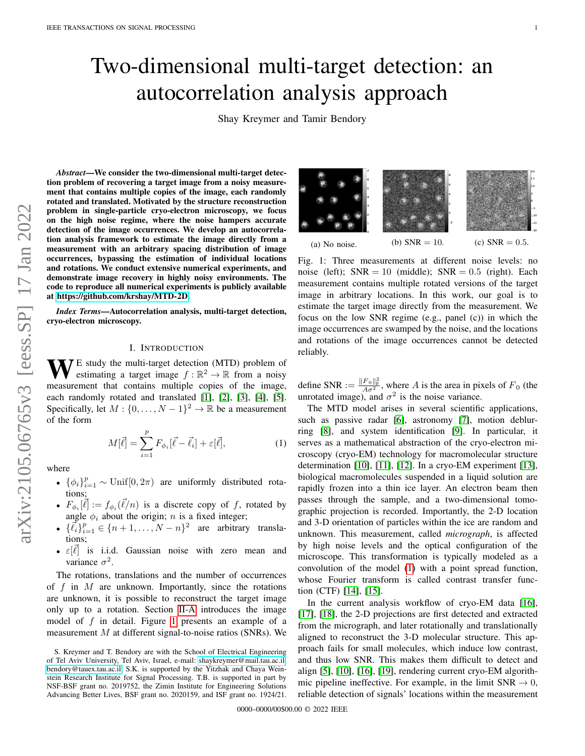# Two-dimensional multi-target detection: an autocorrelation analysis approach

Shay Kreymer and Tamir Bendory

arXiv:2105.06765v3 [eess.SP] 17 Jan 2022 arXiv:2105.06765v3 [eess.SP] 17 Jan 2022

*Abstract*—We consider the two-dimensional multi-target detection problem of recovering a target image from a noisy measurement that contains multiple copies of the image, each randomly rotated and translated. Motivated by the structure reconstruction problem in single-particle cryo-electron microscopy, we focus on the high noise regime, where the noise hampers accurate detection of the image occurrences. We develop an autocorrelation analysis framework to estimate the image directly from a measurement with an arbitrary spacing distribution of image occurrences, bypassing the estimation of individual locations and rotations. We conduct extensive numerical experiments, and demonstrate image recovery in highly noisy environments. The code to reproduce all numerical experiments is publicly available at [https://github.com/krshay/MTD-2D.](https://github.com/krshay/MTD-2D)

*Index Terms*—Autocorrelation analysis, multi-target detection, cryo-electron microscopy.

#### I. INTRODUCTION

 $\mathbf{W}$  E study the multi-target detection (MTD) problem of estimating a target image  $f : \mathbb{R}^2 \to \mathbb{R}$  from a noisy measurement that contains multiple copies of the image, each randomly rotated and translated [\[1\]](#page-9-0), [\[2\]](#page-9-1), [\[3\]](#page-9-2), [\[4\]](#page-9-3), [\[5\]](#page-9-4). Specifically, let  $M: \{0, \ldots, N-1\}^2 \to \mathbb{R}$  be a measurement of the form

<span id="page-0-1"></span>
$$
M[\vec{\ell}] = \sum_{i=1}^{p} F_{\phi_i}[\vec{\ell} - \vec{\ell}_i] + \varepsilon[\vec{\ell}], \qquad (1)
$$

where

- $\{\phi_i\}_{i=1}^p \sim \text{Unif}[0, 2\pi)$  are uniformly distributed rotations;
- $F_{\phi_i}[\vec{\ell}] := f_{\phi_i}(\vec{\ell}/n)$  is a discrete copy of f, rotated by angle  $\phi_i$  about the origin; n is a fixed integer;
- $\{\vec{\ell}_i\}_{i=1}^p \in \{n+1,\ldots,N-n\}^2$  are arbitrary translations;
- $\varepsilon[\vec{\ell}]$  is i.i.d. Gaussian noise with zero mean and variance  $\sigma^2$ .

The rotations, translations and the number of occurrences of f in  $M$  are unknown. Importantly, since the rotations are unknown, it is possible to reconstruct the target image only up to a rotation. Section [II-A](#page-1-0) introduces the image model of f in detail. Figure [1](#page-0-0) presents an example of a measurement  $M$  at different signal-to-noise ratios (SNRs). We

<span id="page-0-0"></span>

Fig. 1: Three measurements at different noise levels: no noise (left);  $SNR = 10$  (middle);  $SNR = 0.5$  (right). Each measurement contains multiple rotated versions of the target image in arbitrary locations. In this work, our goal is to estimate the target image directly from the measurement. We focus on the low SNR regime (e.g., panel (c)) in which the image occurrences are swamped by the noise, and the locations and rotations of the image occurrences cannot be detected reliably.

define SNR :=  $\frac{\|F_0\|_F^2}{A\sigma^2}$ , where A is the area in pixels of  $F_0$  (the unrotated image), and  $\sigma^2$  is the noise variance.

The MTD model arises in several scientific applications, such as passive radar [\[6\]](#page-9-5), astronomy [\[7\]](#page-9-6), motion deblurring [\[8\]](#page-9-7), and system identification [\[9\]](#page-9-8). In particular, it serves as a mathematical abstraction of the cryo-electron microscopy (cryo-EM) technology for macromolecular structure determination [\[10\]](#page-9-9), [\[11\]](#page-9-10), [\[12\]](#page-9-11). In a cryo-EM experiment [\[13\]](#page-9-12), biological macromolecules suspended in a liquid solution are rapidly frozen into a thin ice layer. An electron beam then passes through the sample, and a two-dimensional tomographic projection is recorded. Importantly, the 2-D location and 3-D orientation of particles within the ice are random and unknown. This measurement, called *micrograph*, is affected by high noise levels and the optical configuration of the microscope. This transformation is typically modeled as a convolution of the model [\(1\)](#page-0-1) with a point spread function, whose Fourier transform is called contrast transfer function (CTF) [\[14\]](#page-9-13), [\[15\]](#page-9-14).

In the current analysis workflow of cryo-EM data [\[16\]](#page-9-15), [\[17\]](#page-9-16), [\[18\]](#page-9-17), the 2-D projections are first detected and extracted from the micrograph, and later rotationally and translationally aligned to reconstruct the 3-D molecular structure. This approach fails for small molecules, which induce low contrast, and thus low SNR. This makes them difficult to detect and align [\[5\]](#page-9-4), [\[10\]](#page-9-9), [\[16\]](#page-9-15), [\[19\]](#page-9-18), rendering current cryo-EM algorithmic pipeline ineffective. For example, in the limit  $SNR \rightarrow 0$ , reliable detection of signals' locations within the measurement

S. Kreymer and T. Bendory are with the School of Electrical Engineering of Tel Aviv University, Tel Aviv, Israel, e-mail: [shaykreymer@mail.tau.ac.il,](mailto:shaykreymer@mail.tau.ac.il) [bendory@tauex.tau.ac.il.](mailto:bendory@tauex.tau.ac.il) S.K. is supported by the Yitzhak and Chaya Weinstein Research Institute for Signal Processing. T.B. is supported in part by NSF-BSF grant no. 2019752, the Zimin Institute for Engineering Solutions Advancing Better Lives, BSF grant no. 2020159, and ISF grant no. 1924/21.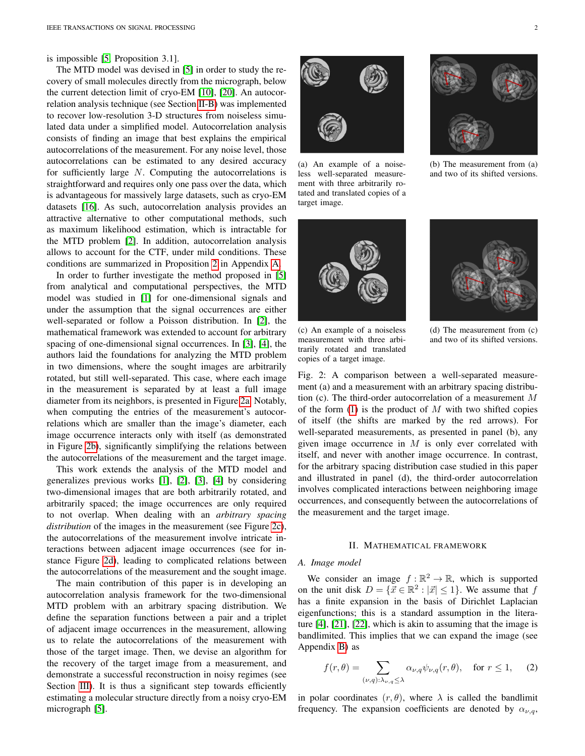is impossible [\[5,](#page-9-4) Proposition 3.1].

The MTD model was devised in [\[5\]](#page-9-4) in order to study the recovery of small molecules directly from the micrograph, below the current detection limit of cryo-EM [\[10\]](#page-9-9), [\[20\]](#page-9-19). An autocorrelation analysis technique (see Section [II-B\)](#page-2-0) was implemented to recover low-resolution 3-D structures from noiseless simulated data under a simplified model. Autocorrelation analysis consists of finding an image that best explains the empirical autocorrelations of the measurement. For any noise level, those autocorrelations can be estimated to any desired accuracy for sufficiently large N. Computing the autocorrelations is straightforward and requires only one pass over the data, which is advantageous for massively large datasets, such as cryo-EM datasets [\[16\]](#page-9-15). As such, autocorrelation analysis provides an attractive alternative to other computational methods, such as maximum likelihood estimation, which is intractable for the MTD problem [\[2\]](#page-9-1). In addition, autocorrelation analysis allows to account for the CTF, under mild conditions. These conditions are summarized in Proposition [2](#page-10-0) in Appendix [A.](#page-10-1)

In order to further investigate the method proposed in [\[5\]](#page-9-4) from analytical and computational perspectives, the MTD model was studied in [\[1\]](#page-9-0) for one-dimensional signals and under the assumption that the signal occurrences are either well-separated or follow a Poisson distribution. In [\[2\]](#page-9-1), the mathematical framework was extended to account for arbitrary spacing of one-dimensional signal occurrences. In [\[3\]](#page-9-2), [\[4\]](#page-9-3), the authors laid the foundations for analyzing the MTD problem in two dimensions, where the sought images are arbitrarily rotated, but still well-separated. This case, where each image in the measurement is separated by at least a full image diameter from its neighbors, is presented in Figure [2a.](#page-1-1) Notably, when computing the entries of the measurement's autocorrelations which are smaller than the image's diameter, each image occurrence interacts only with itself (as demonstrated in Figure [2b\)](#page-1-1), significantly simplifying the relations between the autocorrelations of the measurement and the target image.

This work extends the analysis of the MTD model and generalizes previous works [\[1\]](#page-9-0), [\[2\]](#page-9-1), [\[3\]](#page-9-2), [\[4\]](#page-9-3) by considering two-dimensional images that are both arbitrarily rotated, and arbitrarily spaced; the image occurrences are only required to not overlap. When dealing with an *arbitrary spacing distribution* of the images in the measurement (see Figure [2c\)](#page-1-1), the autocorrelations of the measurement involve intricate interactions between adjacent image occurrences (see for instance Figure [2d\)](#page-1-1), leading to complicated relations between the autocorrelations of the measurement and the sought image.

The main contribution of this paper is in developing an autocorrelation analysis framework for the two-dimensional MTD problem with an arbitrary spacing distribution. We define the separation functions between a pair and a triplet of adjacent image occurrences in the measurement, allowing us to relate the autocorrelations of the measurement with those of the target image. Then, we devise an algorithm for the recovery of the target image from a measurement, and demonstrate a successful reconstruction in noisy regimes (see Section [III\)](#page-6-0). It is thus a significant step towards efficiently estimating a molecular structure directly from a noisy cryo-EM micrograph [\[5\]](#page-9-4).

<span id="page-1-1"></span>

(a) An example of a noiseless well-separated measurement with three arbitrarily rotated and translated copies of a target image.





(b) The measurement from (a) and two of its shifted versions.



(c) An example of a noiseless measurement with three arbitrarily rotated and translated copies of a target image.

(d) The measurement from (c) and two of its shifted versions.

Fig. 2: A comparison between a well-separated measurement (a) and a measurement with an arbitrary spacing distribution (c). The third-order autocorrelation of a measurement M of the form  $(1)$  is the product of M with two shifted copies of itself (the shifts are marked by the red arrows). For well-separated measurements, as presented in panel (b), any given image occurrence in  $M$  is only ever correlated with itself, and never with another image occurrence. In contrast, for the arbitrary spacing distribution case studied in this paper and illustrated in panel (d), the third-order autocorrelation involves complicated interactions between neighboring image occurrences, and consequently between the autocorrelations of the measurement and the target image.

#### II. MATHEMATICAL FRAMEWORK

## <span id="page-1-0"></span>*A. Image model*

We consider an image  $f : \mathbb{R}^2 \to \mathbb{R}$ , which is supported on the unit disk  $D = \{ \vec{x} \in \mathbb{R}^2 : |\vec{x}| \le 1 \}$ . We assume that f has a finite expansion in the basis of Dirichlet Laplacian eigenfunctions; this is a standard assumption in the literature [\[4\]](#page-9-3), [\[21\]](#page-9-20), [\[22\]](#page-9-21), which is akin to assuming that the image is bandlimited. This implies that we can expand the image (see Appendix [B\)](#page-10-2) as

<span id="page-1-2"></span>
$$
f(r,\theta) = \sum_{(\nu,q):\lambda_{\nu,q}\leq\lambda} \alpha_{\nu,q} \psi_{\nu,q}(r,\theta), \quad \text{for } r \leq 1,
$$
 (2)

in polar coordinates  $(r, \theta)$ , where  $\lambda$  is called the bandlimit frequency. The expansion coefficients are denoted by  $\alpha_{\nu,q}$ ,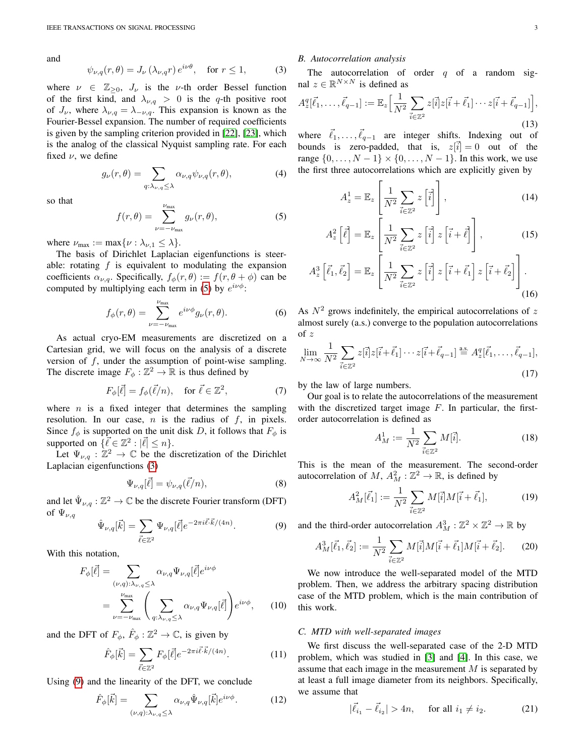and

<span id="page-2-2"></span>
$$
\psi_{\nu,q}(r,\theta) = J_{\nu}\left(\lambda_{\nu,q}r\right)e^{i\nu\theta}, \quad \text{for } r \le 1,
$$
 (3)

where  $\nu \in \mathbb{Z}_{\geq 0}$ ,  $J_{\nu}$  is the  $\nu$ -th order Bessel function of the first kind, and  $\lambda_{\nu,q} > 0$  is the q-th positive root of  $J_{\nu}$ , where  $\lambda_{\nu,q} = \lambda_{-\nu,q}$ . This expansion is known as the Fourier-Bessel expansion. The number of required coefficients is given by the sampling criterion provided in [\[22\]](#page-9-21), [\[23\]](#page-9-22), which is the analog of the classical Nyquist sampling rate. For each fixed  $\nu$ , we define

$$
g_{\nu}(r,\theta) = \sum_{q:\lambda_{\nu,q}\leq\lambda} \alpha_{\nu,q} \psi_{\nu,q}(r,\theta),\tag{4}
$$

so that

<span id="page-2-1"></span>
$$
f(r,\theta) = \sum_{\nu=-\nu_{\text{max}}}^{\nu_{\text{max}}} g_{\nu}(r,\theta),
$$
 (5)

where  $\nu_{\text{max}} := \max\{\nu : \lambda_{\nu,1} \leq \lambda\}.$ 

The basis of Dirichlet Laplacian eigenfunctions is steerable: rotating  $f$  is equivalent to modulating the expansion coefficients  $\alpha_{\nu,q}$ . Specifically,  $f_{\phi}(r,\theta) := f(r,\theta + \phi)$  can be computed by multiplying each term in [\(5\)](#page-2-1) by  $e^{i\nu\phi}$ :

$$
f_{\phi}(r,\theta) = \sum_{\nu=-\nu_{\text{max}}}^{\nu_{\text{max}}} e^{i\nu\phi} g_{\nu}(r,\theta).
$$
 (6)

As actual cryo-EM measurements are discretized on a Cartesian grid, we will focus on the analysis of a discrete version of  $f$ , under the assumption of point-wise sampling. The discrete image  $F_{\phi}: \mathbb{Z}^2 \to \mathbb{R}$  is thus defined by

$$
F_{\phi}[\vec{\ell}] = f_{\phi}(\vec{\ell}/n), \quad \text{for } \vec{\ell} \in \mathbb{Z}^2,
$$
 (7)

where  $n$  is a fixed integer that determines the sampling resolution. In our case,  $n$  is the radius of  $f$ , in pixels. Since  $f_{\phi}$  is supported on the unit disk D, it follows that  $F_{\phi}$  is supported on  $\{\vec{\ell} \in \mathbb{Z}^2 : |\vec{\ell}| \leq n\}.$ 

Let  $\Psi_{\nu,q} : \mathbb{Z}^2 \to \mathbb{C}$  be the discretization of the Dirichlet Laplacian eigenfunctions [\(3\)](#page-2-2)

$$
\Psi_{\nu,q}[\vec{\ell}] = \psi_{\nu,q}(\vec{\ell}/n),\tag{8}
$$

and let  $\hat{\Psi}_{\nu,q} : \mathbb{Z}^2 \to \mathbb{C}$  be the discrete Fourier transform (DFT) of  $\Psi_{\nu,q}$ 

<span id="page-2-3"></span>
$$
\hat{\Psi}_{\nu,q}[\vec{k}] = \sum_{\vec{\ell} \in \mathbb{Z}^2} \Psi_{\nu,q}[\vec{\ell}] e^{-2\pi i \vec{\ell} \cdot \vec{k}/(4n)}.
$$
 (9)

With this notation,

$$
F_{\phi}[\vec{\ell}] = \sum_{(\nu,q):\lambda_{\nu,q} \leq \lambda} \alpha_{\nu,q} \Psi_{\nu,q}[\vec{\ell}] e^{i\nu\phi}
$$
  
= 
$$
\sum_{\nu=-\nu_{\text{max}}}^{\nu_{\text{max}}} \left( \sum_{q:\lambda_{\nu,q} \leq \lambda} \alpha_{\nu,q} \Psi_{\nu,q}[\vec{\ell}] \right) e^{i\nu\phi},
$$
 (10)

and the DFT of  $F_{\phi}$ ,  $\hat{F}_{\phi}$  :  $\mathbb{Z}^2 \to \mathbb{C}$ , is given by

$$
\hat{F}_{\phi}[\vec{k}] = \sum_{\vec{\ell} \in \mathbb{Z}^2} F_{\phi}[\vec{\ell}] e^{-2\pi i \vec{\ell} \cdot \vec{k}/(4n)}.
$$
 (11)

Using [\(9\)](#page-2-3) and the linearity of the DFT, we conclude

$$
\hat{F}_{\phi}[\vec{k}] = \sum_{(\nu,q):\lambda_{\nu,q}\leq \lambda} \alpha_{\nu,q} \hat{\Psi}_{\nu,q}[\vec{k}] e^{i\nu\phi}.
$$
 (12)

## <span id="page-2-0"></span>*B. Autocorrelation analysis*

The autocorrelation of order  $q$  of a random signal  $z \in \mathbb{R}^{N \times N}$  is defined as

$$
A_z^q[\vec{\ell}_1,\ldots,\vec{\ell}_{q-1}] := \mathbb{E}_z \Big[ \frac{1}{N^2} \sum_{\vec{i}\in\mathbb{Z}^2} z[\vec{i}] z[\vec{i}+\vec{\ell}_1]\cdots z[\vec{i}+\vec{\ell}_{q-1}] \Big],\tag{13}
$$

where  $\vec{\ell}_1, \ldots, \vec{\ell}_{q-1}$  are integer shifts. Indexing out of bounds is zero-padded, that is,  $z[\vec{i}] = 0$  out of the range  $\{0, ..., N-1\} \times \{0, ..., N-1\}$ . In this work, we use the first three autocorrelations which are explicitly given by

$$
A_z^1 = \mathbb{E}_z \left[ \frac{1}{N^2} \sum_{\vec{i} \in \mathbb{Z}^2} z \left[ \vec{i} \right] \right],\tag{14}
$$

$$
A_z^2 \left[ \vec{\ell} \right] = \mathbb{E}_z \left[ \frac{1}{N^2} \sum_{\vec{i} \in \mathbb{Z}^2} z \left[ \vec{i} \right] z \left[ \vec{i} + \vec{\ell} \right] \right],\tag{15}
$$

$$
A_z^3 \left[ \vec{\ell}_1, \vec{\ell}_2 \right] = \mathbb{E}_z \left[ \frac{1}{N^2} \sum_{\vec{i} \in \mathbb{Z}^2} z \left[ \vec{i} \right] z \left[ \vec{i} + \vec{\ell}_1 \right] z \left[ \vec{i} + \vec{\ell}_2 \right] \right].
$$
\n(16)

As  $N^2$  grows indefinitely, the empirical autocorrelations of z almost surely (a.s.) converge to the population autocorrelations of z

$$
\lim_{N \to \infty} \frac{1}{N^2} \sum_{\vec{i} \in \mathbb{Z}^2} z[\vec{i}] z[\vec{i} + \vec{\ell}_1] \cdots z[\vec{i} + \vec{\ell}_{q-1}] \stackrel{\text{a.s.}}{=} A_z^q[\vec{\ell}_1, \dots, \vec{\ell}_{q-1}],
$$
\n(17)

by the law of large numbers.

Our goal is to relate the autocorrelations of the measurement with the discretized target image  $F$ . In particular, the firstorder autocorrelation is defined as

<span id="page-2-7"></span>
$$
A_M^1 := \frac{1}{N^2} \sum_{\vec{i} \in \mathbb{Z}^2} M[\vec{i}]. \tag{18}
$$

This is the mean of the measurement. The second-order autocorrelation of M,  $A_M^2 : \mathbb{Z}^2 \to \mathbb{R}$ , is defined by

$$
A_M^2[\vec{\ell}_1] := \frac{1}{N^2} \sum_{\vec{i} \in \mathbb{Z}^2} M[\vec{i}] M[\vec{i} + \vec{\ell}_1],\tag{19}
$$

and the third-order autocorrelation  $A_M^3 : \mathbb{Z}^2 \times \mathbb{Z}^2 \to \mathbb{R}$  by

<span id="page-2-5"></span>
$$
A_M^3[\vec{\ell}_1, \vec{\ell}_2] := \frac{1}{N^2} \sum_{\vec{i} \in \mathbb{Z}^2} M[\vec{i}] M[\vec{i} + \vec{\ell}_1] M[\vec{i} + \vec{\ell}_2]. \tag{20}
$$

<span id="page-2-8"></span>We now introduce the well-separated model of the MTD problem. Then, we address the arbitrary spacing distribution case of the MTD problem, which is the main contribution of this work.

#### <span id="page-2-6"></span>*C. MTD with well-separated images*

We first discuss the well-separated case of the 2-D MTD problem, which was studied in [\[3\]](#page-9-2) and [\[4\]](#page-9-3). In this case, we assume that each image in the measurement M is separated by at least a full image diameter from its neighbors. Specifically, we assume that

<span id="page-2-4"></span>
$$
|\vec{\ell}_{i_1} - \vec{\ell}_{i_2}| > 4n
$$
, for all  $i_1 \neq i_2$ . (21)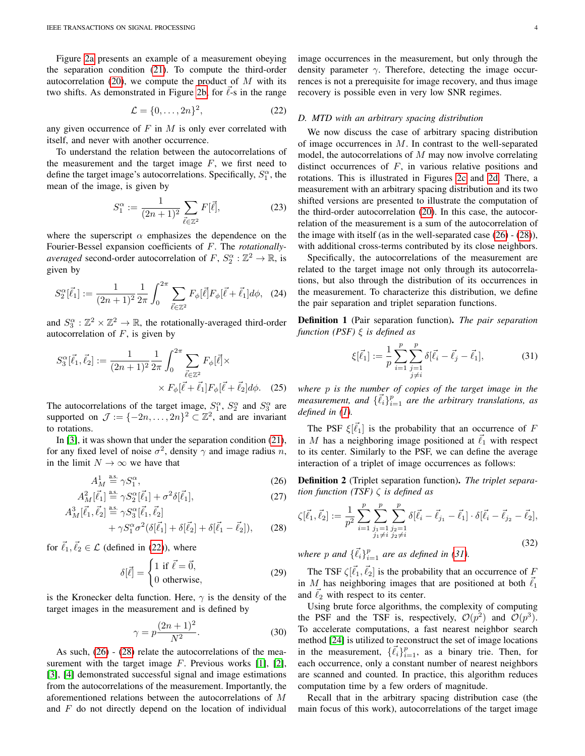Figure [2a](#page-1-1) presents an example of a measurement obeying the separation condition [\(21\)](#page-2-4). To compute the third-order autocorrelation [\(20\)](#page-2-5), we compute the product of  $M$  with its two shifts. As demonstrated in Figure [2b,](#page-1-1) for  $\ell$ -s in the range

<span id="page-3-0"></span>
$$
\mathcal{L} = \{0, \dots, 2n\}^2,\tag{22}
$$

any given occurrence of  $F$  in  $M$  is only ever correlated with itself, and never with another occurrence.

To understand the relation between the autocorrelations of the measurement and the target image  $F$ , we first need to define the target image's autocorrelations. Specifically,  $S_1^{\alpha}$ , the mean of the image, is given by

$$
S_1^{\alpha} := \frac{1}{(2n+1)^2} \sum_{\vec{\ell} \in \mathbb{Z}^2} F[\vec{\ell}], \tag{23}
$$

where the superscript  $\alpha$  emphasizes the dependence on the Fourier-Bessel expansion coefficients of F. The *rotationallyaveraged* second-order autocorrelation of  $F$ ,  $S_2^{\alpha}$  :  $\mathbb{Z}^2 \to \mathbb{R}$ , is given by

<span id="page-3-7"></span>
$$
S_2^{\alpha}[\vec{\ell}_1] := \frac{1}{(2n+1)^2} \frac{1}{2\pi} \int_0^{2\pi} \sum_{\vec{\ell} \in \mathbb{Z}^2} F_{\phi}[\vec{\ell}] F_{\phi}[\vec{\ell} + \vec{\ell}_1] d\phi, \quad (24)
$$

and  $S_3^{\alpha}: \mathbb{Z}^2 \times \mathbb{Z}^2 \to \mathbb{R}$ , the rotationally-averaged third-order autocorrelation of  $F$ , is given by

$$
S_3^{\alpha}[\vec{\ell}_1, \vec{\ell}_2] := \frac{1}{(2n+1)^2} \frac{1}{2\pi} \int_0^{2\pi} \sum_{\vec{\ell} \in \mathbb{Z}^2} F_{\phi}[\vec{\ell}] \times \times F_{\phi}[\vec{\ell} + \vec{\ell}_1] F_{\phi}[\vec{\ell} + \vec{\ell}_2] d\phi. \quad (25)
$$

The autocorrelations of the target image,  $S_1^{\alpha}$ ,  $S_2^{\alpha}$  and  $S_3^{\alpha}$  are supported on  $\mathcal{J} := \{-2n, \ldots, 2n\}^2 \subset \mathbb{Z}^2$ , and are invariant to rotations.

In [\[3\]](#page-9-2), it was shown that under the separation condition [\(21\)](#page-2-4), for any fixed level of noise  $\sigma^2$ , density  $\gamma$  and image radius n, in the limit  $N \to \infty$  we have that

$$
A_M^1 \stackrel{\text{a.s.}}{=} \gamma S_1^\alpha,\tag{26}
$$

$$
A_M^2[\vec{\ell}_1] \stackrel{\text{a.s.}}{=} \gamma S_2^{\alpha}[\vec{\ell}_1] + \sigma^2 \delta[\vec{\ell}_1], \tag{27}
$$

$$
A_M^3[\vec{\ell}_1, \vec{\ell}_2] \stackrel{\text{as}}{=} \gamma S_3^{\alpha}[\vec{\ell}_1, \vec{\ell}_2] + \gamma S_1^{\alpha} \sigma^2 (\delta[\vec{\ell}_1] + \delta[\vec{\ell}_2] + \delta[\vec{\ell}_1 - \vec{\ell}_2]),
$$
 (28)

for  $\vec{\ell}_1, \vec{\ell}_2 \in \mathcal{L}$  (defined in [\(22\)](#page-3-0)), where

$$
\delta[\vec{\ell}] = \begin{cases} 1 \text{ if } \vec{\ell} = \vec{0}, \\ 0 \text{ otherwise}, \end{cases}
$$
 (29)

is the Kronecker delta function. Here,  $\gamma$  is the density of the target images in the measurement and is defined by

<span id="page-3-5"></span>
$$
\gamma = p \frac{(2n+1)^2}{N^2}.
$$
\n
$$
(30)
$$

As such, [\(26\)](#page-3-1) - [\(28\)](#page-3-2) relate the autocorrelations of the measurement with the target image  $F$ . Previous works [\[1\]](#page-9-0), [\[2\]](#page-9-1), [\[3\]](#page-9-2), [\[4\]](#page-9-3) demonstrated successful signal and image estimations from the autocorrelations of the measurement. Importantly, the aforementioned relations between the autocorrelations of M and  $F$  do not directly depend on the location of individual image occurrences in the measurement, but only through the density parameter  $\gamma$ . Therefore, detecting the image occurrences is not a prerequisite for image recovery, and thus image recovery is possible even in very low SNR regimes.

#### <span id="page-3-4"></span>*D. MTD with an arbitrary spacing distribution*

We now discuss the case of arbitrary spacing distribution of image occurrences in  $M$ . In contrast to the well-separated model, the autocorrelations of  $M$  may now involve correlating distinct occurrences of  $F$ , in various relative positions and rotations. This is illustrated in Figures [2c](#page-1-1) and [2d.](#page-1-1) There, a measurement with an arbitrary spacing distribution and its two shifted versions are presented to illustrate the computation of the third-order autocorrelation [\(20\)](#page-2-5). In this case, the autocorrelation of the measurement is a sum of the autocorrelation of the image with itself (as in the well-separated case [\(26\)](#page-3-1) - [\(28\)](#page-3-2)), with additional cross-terms contributed by its close neighbors.

Specifically, the autocorrelations of the measurement are related to the target image not only through its autocorrelations, but also through the distribution of its occurrences in the measurement. To characterize this distribution, we define the pair separation and triplet separation functions.

Definition 1 (Pair separation function). *The pair separation function (PSF)* ξ *is defined as*

<span id="page-3-3"></span>
$$
\xi[\vec{\ell}_1] := \frac{1}{p} \sum_{i=1}^p \sum_{\substack{j=1 \ j \neq i}}^p \delta[\vec{\ell}_i - \vec{\ell}_j - \vec{\ell}_1],\tag{31}
$$

<span id="page-3-8"></span>*where* p *is the number of copies of the target image in the measurement, and*  $\{\vec{\ell}_i\}_{i=1}^p$  *are the arbitrary translations, as defined in [\(1\)](#page-0-1).*

The PSF  $\xi[\vec{\ell}_1]$  is the probability that an occurrence of F in  $M$  has a neighboring image positioned at  $\ell_1$  with respect to its center. Similarly to the PSF, we can define the average interaction of a triplet of image occurrences as follows:

<span id="page-3-1"></span>Definition 2 (Triplet separation function). *The triplet separation function (TSF)* ζ *is defined as*

<span id="page-3-6"></span><span id="page-3-2"></span>
$$
\zeta[\vec{\ell_1}, \vec{\ell_2}] := \frac{1}{p^2} \sum_{i=1}^p \sum_{\substack{j_1 = 1 \\ j_1 \neq i}}^p \sum_{\substack{j_2 = 1 \\ j_2 \neq i}}^p \delta[\vec{\ell_i} - \vec{\ell_{j_1}} - \vec{\ell_1}] \cdot \delta[\vec{\ell_i} - \vec{\ell_{j_2}} - \vec{\ell_2}],
$$
\n(32)

where p and  $\{\vec{\ell}_i\}_{i=1}^p$  are as defined in [\(31\)](#page-3-3).

The TSF  $\zeta[\vec{\ell}_1,\vec{\ell}_2]$  is the probability that an occurrence of F in M has neighboring images that are positioned at both  $\vec{\ell}_1$ and  $\ell_2$  with respect to its center.

Using brute force algorithms, the complexity of computing the PSF and the TSF is, respectively,  $\mathcal{O}(p^2)$  and  $\mathcal{O}(p^3)$ . To accelerate computations, a fast nearest neighbor search method [\[24\]](#page-9-23) is utilized to reconstruct the set of image locations in the measurement,  $\{\vec{\ell}_i\}_{i=1}^p$ , as a binary trie. Then, for each occurrence, only a constant number of nearest neighbors are scanned and counted. In practice, this algorithm reduces computation time by a few orders of magnitude.

Recall that in the arbitrary spacing distribution case (the main focus of this work), autocorrelations of the target image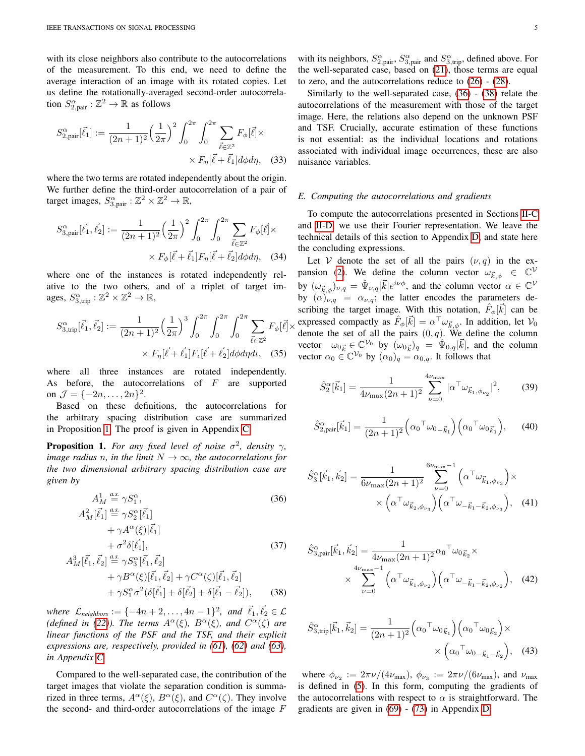with its close neighbors also contribute to the autocorrelations of the measurement. To this end, we need to define the average interaction of an image with its rotated copies. Let us define the rotationally-averaged second-order autocorrelation  $S_{2,\text{pair}}^{\alpha} : \mathbb{Z}^2 \to \mathbb{R}$  as follows

$$
S_{2,\text{pair}}^{\alpha}[\vec{\ell_1}] := \frac{1}{(2n+1)^2} \left(\frac{1}{2\pi}\right)^2 \int_0^{2\pi} \int_0^{2\pi} \sum_{\vec{\ell} \in \mathbb{Z}^2} F_{\phi}[\vec{\ell}] \times
$$

$$
\times F_{\eta}[\vec{\ell} + \vec{\ell_1}] d\phi d\eta, \quad (33)
$$

where the two terms are rotated independently about the origin. We further define the third-order autocorrelation of a pair of target images,  $S_{3,\text{pair}}^{\alpha}: \mathbb{Z}^2 \times \mathbb{Z}^2 \to \mathbb{R}$ ,

$$
S_{3,\text{pair}}^{\alpha}[\vec{\ell}_{1}, \vec{\ell}_{2}] := \frac{1}{(2n+1)^{2}} \left(\frac{1}{2\pi}\right)^{2} \int_{0}^{2\pi} \int_{0}^{2\pi} \sum_{\vec{\ell} \in \mathbb{Z}^{2}} F_{\phi}[\vec{\ell}] \times \\
\times F_{\phi}[\vec{\ell} + \vec{\ell}_{1}] F_{\eta}[\vec{\ell} + \vec{\ell}_{2}] d\phi d\eta, \quad (34)
$$

where one of the instances is rotated independently relative to the two others, and of a triplet of target images,  $S_{3,\text{trip}}^{\alpha}: \mathbb{Z}^2 \times \mathbb{Z}^2 \to \mathbb{R}$ ,

$$
S_{3, \text{trip}}^{\alpha}[\vec{\ell}_{1}, \vec{\ell}_{2}] := \frac{1}{(2n+1)^{2}} \left(\frac{1}{2\pi}\right)^{3} \int_{0}^{2\pi} \int_{0}^{2\pi} \int_{0}^{2\pi} \sum_{\vec{\ell} \in \mathbb{Z}^{2}} F_{\phi}[\vec{\ell}] \times F_{\eta}[\vec{\ell} + \vec{\ell}_{1}] F_{\iota}[\vec{\ell} + \vec{\ell}_{2}] d\phi d\eta d\iota, \quad (35)
$$

where all three instances are rotated independently. As before, the autocorrelations of  $F$  are supported on  $\mathcal{J} = \{-2n, \ldots, 2n\}^2$ .

Based on these definitions, the autocorrelations for the arbitrary spacing distribution case are summarized in Proposition [1.](#page-4-0) The proof is given in Appendix [C.](#page-11-0)

<span id="page-4-0"></span>**Proposition 1.** For any fixed level of noise  $\sigma^2$ , density  $\gamma$ , *image radius n, in the limit*  $N \rightarrow \infty$ *, the autocorrelations for the two dimensional arbitrary spacing distribution case are given by*

$$
A_M^1 \stackrel{a.s}{=} \gamma S_1^{\alpha},
$$
\n(36)  
\n
$$
A_M^2[\vec{\ell}_1] \stackrel{a.s}{=} \gamma S_2^{\alpha}[\vec{\ell}_1]
$$
\n
$$
+ \gamma A^{\alpha}(\xi)[\vec{\ell}_1]
$$
\n
$$
+ \sigma^2 \delta[\vec{\ell}_1],
$$
\n(37)  
\n
$$
A_M^3[\vec{\ell}_1, \vec{\ell}_2] \stackrel{a.s}{=} \gamma S_3^{\alpha}[\vec{\ell}_1, \vec{\ell}_2]
$$
\n
$$
+ \gamma B^{\alpha}(\xi)[\vec{\ell}_1, \vec{\ell}_2] + \gamma C^{\alpha}(\zeta)[\vec{\ell}_1, \vec{\ell}_2]
$$
\n
$$
+ \gamma S_1^{\alpha} \sigma^2(\delta[\vec{\ell}_1] + \delta[\vec{\ell}_2] + \delta[\vec{\ell}_1 - \vec{\ell}_2]),
$$
\n(38)

*where*  $\mathcal{L}_{neighbors} := \{-4n + 2, \ldots, 4n - 1\}^2$ , and  $\vec{\ell}_1, \vec{\ell}_2 \in \mathcal{L}$ (*defined in* [\(22\)](#page-3-0)). The terms  $A^{\alpha}(\xi)$ ,  $B^{\alpha}(\xi)$ , and  $C^{\alpha}(\zeta)$  are *linear functions of the PSF and the TSF, and their explicit expressions are, respectively, provided in [\(61\)](#page-11-1), [\(62\)](#page-12-0) and [\(63\)](#page-12-1), in Appendix [C.](#page-11-0)*

A

Compared to the well-separated case, the contribution of the target images that violate the separation condition is summarized in three terms,  $A^{\alpha}(\xi)$ ,  $B^{\alpha}(\xi)$ , and  $C^{\alpha}(\zeta)$ . They involve the second- and third-order autocorrelations of the image  $F$ 

Similarly to the well-separated case, [\(36\)](#page-4-1) - [\(38\)](#page-4-2) relate the autocorrelations of the measurement with those of the target image. Here, the relations also depend on the unknown PSF and TSF. Crucially, accurate estimation of these functions is not essential: as the individual locations and rotations associated with individual image occurrences, these are also nuisance variables.

#### <span id="page-4-5"></span><span id="page-4-3"></span>*E. Computing the autocorrelations and gradients*

To compute the autocorrelations presented in Sections [II-C](#page-2-6) and [II-D,](#page-3-4) we use their Fourier representation. We leave the technical details of this section to Appendix [D,](#page-11-2) and state here the concluding expressions.

<span id="page-4-6"></span> $\vec{\ell} \times \vec{\ell}$  expressed compactly as  $\hat{F}_{\phi}[\vec{k}] = \alpha^{\top} \omega_{\vec{k},\phi}$ . In addition, let  $V_0$ Let V denote the set of all the pairs  $(\nu, q)$  in the ex-pansion [\(2\)](#page-1-2). We define the column vector  $\omega_{\vec{k},\phi} \in \mathbb{C}^{\mathcal{V}}$ by  $(\omega_{\vec{k},\phi})_{\nu,q} = \hat{\Psi}_{\nu,q}[\vec{k}]e^{i\nu\phi}$ , and the column vector  $\alpha \in \mathbb{C}^{\mathcal{V}}$ by  $(\alpha)_{\nu,q} = \alpha_{\nu,q}$ ; the latter encodes the parameters describing the target image. With this notation,  $\hat{F}_{\phi}[\vec{k}]$  can be denote the set of all the pairs  $(0, q)$ . We define the column vector  $\omega_{0\vec{k}} \in \mathbb{C}^{\mathcal{V}_0}$  by  $(\omega_{0\vec{k}})_q = \hat{\Psi}_{0,q}[\vec{k}]$ , and the column vector  $\alpha_0 \in \mathbb{C}^{\mathcal{V}_0}$  by  $(\alpha_0)_q = \alpha_{0,q}$ . It follows that

<span id="page-4-7"></span>
$$
\hat{S}_2^{\alpha}[\vec{k}_1] = \frac{1}{4\nu_{\text{max}}(2n+1)^2} \sum_{\nu=0}^{4\nu_{\text{max}}} |\alpha^{\top}\omega_{\vec{k}_1,\phi_{\nu_2}}|^2, \qquad (39)
$$

$$
\hat{S}_{2,\text{pair}}^{\alpha}[\vec{k}_1] = \frac{1}{(2n+1)^2} \left( \alpha_0{}^{\top} \omega_{0\ldots\vec{k}_1} \right) \left( \alpha_0{}^{\top} \omega_{0\vec{k}_1} \right), \qquad (40)
$$

<span id="page-4-1"></span>
$$
\hat{S}_{3}^{\alpha}[\vec{k}_{1}, \vec{k}_{2}] = \frac{1}{6\nu_{\text{max}}(2n+1)^{2}} \sum_{\nu=0}^{6\nu_{\text{max}}-1} \left( \alpha^{\top} \omega_{\vec{k}_{1}, \phi_{\nu_{3}}} \right) \times \times \left( \alpha^{\top} \omega_{\vec{k}_{2}, \phi_{\nu_{3}}} \right) \left( \alpha^{\top} \omega_{-\vec{k}_{1} - \vec{k}_{2}, \phi_{\nu_{3}}} \right), \quad (41)
$$

<span id="page-4-4"></span>
$$
\hat{S}_{3,\text{pair}}^{\alpha}[\vec{k}_{1}, \vec{k}_{2}] = \frac{1}{4\nu_{\text{max}}(2n+1)^{2}} \alpha_{0}{}^{\top} \omega_{0\vec{k}_{2}} \times \times \sum_{\nu=0}^{4\nu_{\text{max}}-1} \left( \alpha^{\top} \omega_{\vec{k}_{1}, \phi_{\nu_{2}}} \right) \left( \alpha^{\top} \omega_{-\vec{k}_{1}-\vec{k}_{2}, \phi_{\nu_{2}}} \right), \quad (42)
$$

<span id="page-4-2"></span>
$$
\hat{S}_{3,\text{trip}}^{\alpha}[\vec{k}_1, \vec{k}_2] = \frac{1}{(2n+1)^2} \left( \alpha_0 \sigma_{\omega_0 \vec{k}_1} \right) \left( \alpha_0 \sigma_{\omega_0 \vec{k}_2} \right) \times \times \left( \alpha_0 \sigma_{\omega_0 \vec{k}_1 - \vec{k}_2} \right), \quad (43)
$$

where  $\phi_{\nu_2} := 2\pi \nu/(4\nu_{\text{max}})$ ,  $\phi_{\nu_3} := 2\pi \nu/(6\nu_{\text{max}})$ , and  $\nu_{\text{max}}$ is defined in [\(5\)](#page-2-1). In this form, computing the gradients of the autocorrelations with respect to  $\alpha$  is straightforward. The gradients are given in [\(69\)](#page-13-0) - [\(73\)](#page-14-0) in Appendix [D.](#page-11-2)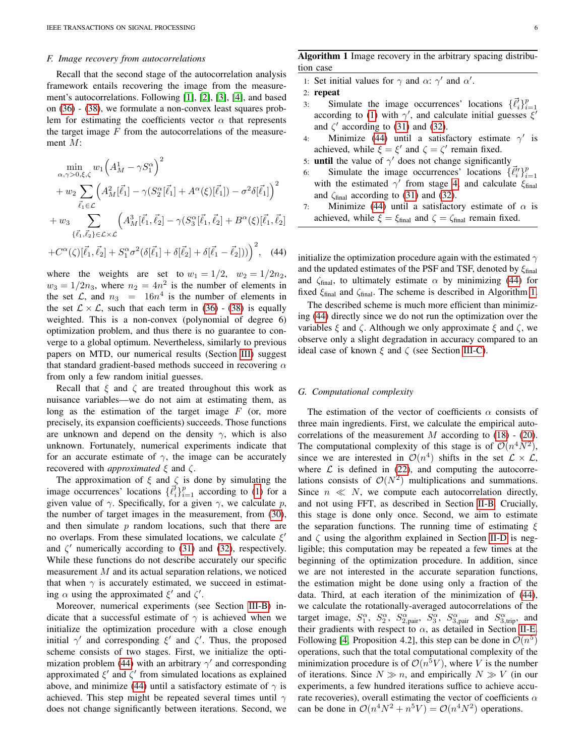## <span id="page-5-2"></span>*F. Image recovery from autocorrelations*

Recall that the second stage of the autocorrelation analysis framework entails recovering the image from the measurement's autocorrelations. Following [\[1\]](#page-9-0), [\[2\]](#page-9-1), [\[3\]](#page-9-2), [\[4\]](#page-9-3), and based on [\(36\)](#page-4-1) - [\(38\)](#page-4-2), we formulate a non-convex least squares problem for estimating the coefficients vector  $\alpha$  that represents the target image  $F$  from the autocorrelations of the measurement M:

$$
\min_{\alpha,\gamma>0,\xi,\zeta} w_1 \left( A_M^1 - \gamma S_1^{\alpha} \right)^2 \n+ w_2 \sum_{\vec{\ell}_1 \in \mathcal{L}} \left( A_M^2 [\vec{\ell}_1] - \gamma (S_2^{\alpha} [\vec{\ell}_1] + A^{\alpha} (\xi) [\vec{\ell}_1]) - \sigma^2 \delta [\vec{\ell}_1] \right)^2 \n+ w_3 \sum_{\{\vec{\ell}_1,\vec{\ell}_2\} \in \mathcal{L} \times \mathcal{L}} \left( A_M^3 [\vec{\ell}_1, \vec{\ell}_2] - \gamma (S_3^{\alpha} [\vec{\ell}_1, \vec{\ell}_2] + B^{\alpha} (\xi) [\vec{\ell}_1, \vec{\ell}_2] \right) \n+ C^{\alpha}(\zeta) [\vec{\ell}_1, \vec{\ell}_2] + S_1^{\alpha} \sigma^2 (\delta [\vec{\ell}_1] + \delta [\vec{\ell}_2] + \delta [\vec{\ell}_1 - \vec{\ell}_2])) \right)^2, \quad (44)
$$

where the weights are set to  $w_1 = 1/2$ ,  $w_2 = 1/2n_2$ ,  $w_3 = 1/2n_3$ , where  $n_2 = 4n^2$  is the number of elements in the set  $\mathcal{L}$ , and  $n_3 = 16n^4$  is the number of elements in the set  $\mathcal{L} \times \mathcal{L}$ , such that each term in [\(36\)](#page-4-1) - [\(38\)](#page-4-2) is equally weighted. This is a non-convex (polynomial of degree 6) optimization problem, and thus there is no guarantee to converge to a global optimum. Nevertheless, similarly to previous papers on MTD, our numerical results (Section [III\)](#page-6-0) suggest that standard gradient-based methods succeed in recovering  $\alpha$ from only a few random initial guesses.

Recall that  $\xi$  and  $\zeta$  are treated throughout this work as nuisance variables—we do not aim at estimating them, as long as the estimation of the target image  $F$  (or, more precisely, its expansion coefficients) succeeds. Those functions are unknown and depend on the density  $\gamma$ , which is also unknown. Fortunately, numerical experiments indicate that for an accurate estimate of  $\gamma$ , the image can be accurately recovered with *approximated* ξ and ζ.

The approximation of  $\xi$  and  $\zeta$  is done by simulating the image occurrences' locations  $\{\vec{\ell}_i\}_{i=1}^p$  according to [\(1\)](#page-0-1) for a given value of  $\gamma$ . Specifically, for a given  $\gamma$ , we calculate p, the number of target images in the measurement, from [\(30\)](#page-3-5), and then simulate  $p$  random locations, such that there are no overlaps. From these simulated locations, we calculate  $\xi'$ and  $\zeta'$  numerically according to [\(31\)](#page-3-3) and [\(32\)](#page-3-6), respectively. While these functions do not describe accurately our specific measurement M and its actual separation relations, we noticed that when  $\gamma$  is accurately estimated, we succeed in estimating  $\alpha$  using the approximated  $\xi'$  and  $\zeta'$ .

Moreover, numerical experiments (see Section [III-B\)](#page-7-0) indicate that a successful estimate of  $\gamma$  is achieved when we initialize the optimization procedure with a close enough initial  $\gamma'$  and corresponding  $\xi'$  and  $\zeta'$ . Thus, the proposed scheme consists of two stages. First, we initialize the opti-mization problem [\(44\)](#page-5-0) with an arbitrary  $\gamma'$  and corresponding approximated  $\xi'$  and  $\zeta'$  from simulated locations as explained above, and minimize [\(44\)](#page-5-0) until a satisfactory estimate of  $\gamma$  is achieved. This step might be repeated several times until  $\gamma$ does not change significantly between iterations. Second, we

# <span id="page-5-1"></span>Algorithm 1 Image recovery in the arbitrary spacing distribution case

- 1: Set initial values for  $\gamma$  and  $\alpha$ :  $\gamma'$  and  $\alpha'$ .
- 2: repeat
- 3: Simulate the image occurrences' locations  $\{\vec{\ell}_i\}_{i=1}^p$ according to [\(1\)](#page-0-1) with  $\gamma'$ , and calculate initial guesses  $\xi'$ and  $\zeta'$  according to [\(31\)](#page-3-3) and [\(32\)](#page-3-6).
- 4: Minimize [\(44\)](#page-5-0) until a satisfactory estimate  $\gamma'$  is achieved, while  $\xi = \xi'$  and  $\zeta = \zeta'$  remain fixed.
- 5: **until** the value of  $\gamma'$  does not change significantly
- 6: Simulate the image occurrences' locations  $\{\vec{\ell}_i^{\prime\prime}\}_{i=1}^p$ with the estimated  $\gamma'$  from stage [4,](#page-5-1) and calculate  $\xi_{final}$ and  $\zeta_{final}$  according to [\(31\)](#page-3-3) and [\(32\)](#page-3-6).
- 7: Minimize [\(44\)](#page-5-0) until a satisfactory estimate of  $\alpha$  is achieved, while  $\xi = \xi_{\text{final}}$  and  $\zeta = \zeta_{\text{final}}$  remain fixed.

<span id="page-5-0"></span>initialize the optimization procedure again with the estimated  $\gamma$ and the updated estimates of the PSF and TSF, denoted by  $\xi_{final}$ and  $\zeta_{\text{final}}$ , to ultimately estimate  $\alpha$  by minimizing [\(44\)](#page-5-0) for fixed  $\xi_{final}$  and  $\zeta_{final}$ . The scheme is described in Algorithm [1.](#page-5-1)

The described scheme is much more efficient than minimizing [\(44\)](#page-5-0) directly since we do not run the optimization over the variables  $\xi$  and  $\zeta$ . Although we only approximate  $\xi$  and  $\zeta$ , we observe only a slight degradation in accuracy compared to an ideal case of known  $\xi$  and  $\zeta$  (see Section [III-C\)](#page-7-1).

### <span id="page-5-3"></span>*G. Computational complexity*

The estimation of the vector of coefficients  $\alpha$  consists of three main ingredients. First, we calculate the empirical autocorrelations of the measurement  $M$  according to [\(18\)](#page-2-7) - [\(20\)](#page-2-5). The computational complexity of this stage is of  $\mathcal{O}(n^4N^2)$ , since we are interested in  $\mathcal{O}(n^4)$  shifts in the set  $\mathcal{L} \times \mathcal{L}$ , where  $\mathcal L$  is defined in [\(22\)](#page-3-0), and computing the autocorrelations consists of  $\mathcal{O}(N^2)$  multiplications and summations. Since  $n \ll N$ , we compute each autocorrelation directly, and not using FFT, as described in Section [II-B.](#page-2-0) Crucially, this stage is done only once. Second, we aim to estimate the separation functions. The running time of estimating  $\xi$ and  $\zeta$  using the algorithm explained in Section [II-D](#page-3-4) is negligible; this computation may be repeated a few times at the beginning of the optimization procedure. In addition, since we are not interested in the accurate separation functions, the estimation might be done using only a fraction of the data. Third, at each iteration of the minimization of [\(44\)](#page-5-0), we calculate the rotationally-averaged autocorrelations of the target image,  $S_1^{\alpha}$ ,  $S_2^{\alpha}$ ,  $S_{2,\text{pair}}^{\alpha}$ ,  $S_3^{\alpha}$ ,  $S_{3,\text{pair}}^{\alpha}$  and  $S_{3,\text{trip}}^{\alpha}$ , and their gradients with respect to  $\alpha$ , as detailed in Section [II-E.](#page-4-3) Following [\[4,](#page-9-3) Proposition 4.2], this step can be done in  $\mathcal{O}(n^5)$ operations, such that the total computational complexity of the minimization procedure is of  $\mathcal{O}(n^5V)$ , where V is the number of iterations. Since  $N \gg n$ , and empirically  $N \gg V$  (in our experiments, a few hundred iterations suffice to achieve accurate recoveries), overall estimating the vector of coefficients  $\alpha$ can be done in  $\mathcal{O}(n^4 N^2 + n^5 V) = \mathcal{O}(n^4 N^2)$  operations.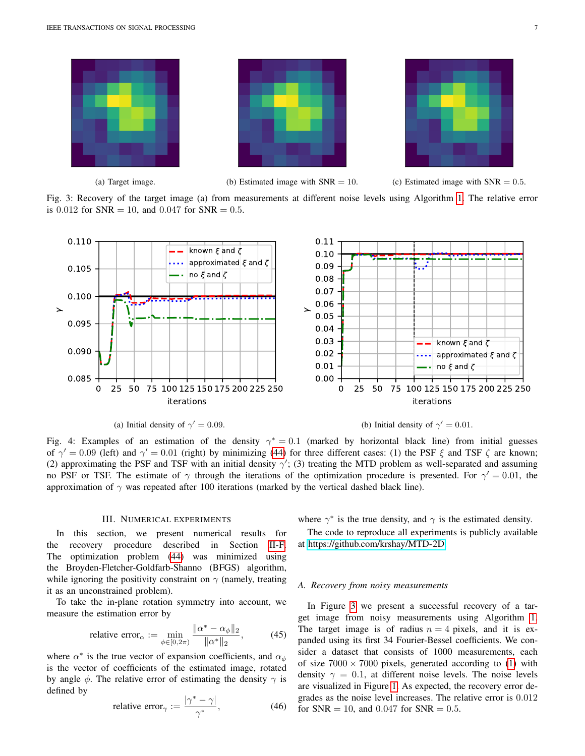<span id="page-6-1"></span>



(a) Target image. (b) Estimated image with  $SNR = 10$ . (c) Estimated image with  $SNR = 0.5$ .

Fig. 3: Recovery of the target image (a) from measurements at different noise levels using Algorithm [1.](#page-5-1) The relative error is  $0.012$  for SNR = 10, and  $0.047$  for SNR = 0.5.

<span id="page-6-2"></span>

(a) Initial density of  $\gamma' = 0.09$ .

(b) Initial density of  $\gamma' = 0.01$ .

Fig. 4: Examples of an estimation of the density  $\gamma^* = 0.1$  (marked by horizontal black line) from initial guesses of  $\gamma' = 0.09$  (left) and  $\gamma' = 0.01$  (right) by minimizing [\(44\)](#page-5-0) for three different cases: (1) the PSF  $\xi$  and TSF  $\zeta$  are known; (2) approximating the PSF and TSF with an initial density  $\gamma'$ ; (3) treating the MTD problem as well-separated and assuming no PSF or TSF. The estimate of  $\gamma$  through the iterations of the optimization procedure is presented. For  $\gamma' = 0.01$ , the approximation of  $\gamma$  was repeated after 100 iterations (marked by the vertical dashed black line).

## III. NUMERICAL EXPERIMENTS

<span id="page-6-0"></span>In this section, we present numerical results for the recovery procedure described in Section [II-F.](#page-5-2) The optimization problem [\(44\)](#page-5-0) was minimized using the Broyden-Fletcher-Goldfarb-Shanno (BFGS) algorithm, while ignoring the positivity constraint on  $\gamma$  (namely, treating it as an unconstrained problem).

To take the in-plane rotation symmetry into account, we measure the estimation error by

relative error<sub>$$
\alpha
$$</sub> :=  $\min_{\phi \in [0, 2\pi)} \frac{\|\alpha^* - \alpha_{\phi}\|_2}{\|\alpha^*\|_2}$ , (45)

where  $\alpha^*$  is the true vector of expansion coefficients, and  $\alpha_{\phi}$ is the vector of coefficients of the estimated image, rotated by angle  $\phi$ . The relative error of estimating the density  $\gamma$  is defined by

relative error<sub>$$
\gamma
$$</sub> :=  $\frac{|\gamma^* - \gamma|}{\gamma^*}$ , (46)

where  $\gamma^*$  is the true density, and  $\gamma$  is the estimated density.

The code to reproduce all experiments is publicly available at [https://github.com/krshay/MTD-2D.](https://github.com/krshay/MTD-2D)

## *A. Recovery from noisy measurements*

In Figure [3](#page-6-1) we present a successful recovery of a target image from noisy measurements using Algorithm [1.](#page-5-1) The target image is of radius  $n = 4$  pixels, and it is expanded using its first 34 Fourier-Bessel coefficients. We consider a dataset that consists of 1000 measurements, each of size  $7000 \times 7000$  pixels, generated according to [\(1\)](#page-0-1) with density  $\gamma = 0.1$ , at different noise levels. The noise levels are visualized in Figure [1.](#page-0-0) As expected, the recovery error degrades as the noise level increases. The relative error is 0.012 for  $SNR = 10$ , and 0.047 for  $SNR = 0.5$ .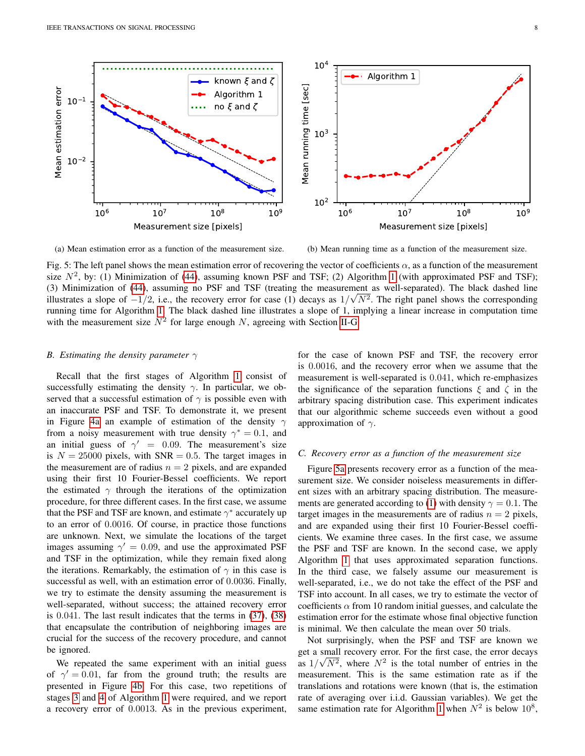<span id="page-7-2"></span>

(a) Mean estimation error as a function of the measurement size.

(b) Mean running time as a function of the measurement size.

Fig. 5: The left panel shows the mean estimation error of recovering the vector of coefficients  $\alpha$ , as a function of the measurement size  $N^2$ , by: (1) Minimization of [\(44\)](#page-5-0), assuming known PSF and TSF; (2) Algorithm [1](#page-5-1) (with approximated PSF and TSF); (3) Minimization of [\(44\)](#page-5-0), assuming no PSF and TSF (treating the measurement as well-separated). The black dashed line √ illustrates a slope of  $-1/2$ , i.e., the recovery error for case (1) decays as  $1/\sqrt{N^2}$ . The right panel shows the corresponding running time for Algorithm [1.](#page-5-1) The black dashed line illustrates a slope of 1, implying a linear increase in computation time with the measurement size  $N^2$  for large enough N, agreeing with Section [II-G.](#page-5-3)

#### <span id="page-7-0"></span>*B. Estimating the density parameter* γ

Recall that the first stages of Algorithm [1](#page-5-1) consist of successfully estimating the density  $\gamma$ . In particular, we observed that a successful estimation of  $\gamma$  is possible even with an inaccurate PSF and TSF. To demonstrate it, we present in Figure [4a](#page-6-2) an example of estimation of the density  $\gamma$ from a noisy measurement with true density  $\gamma^* = 0.1$ , and an initial guess of  $\gamma' = 0.09$ . The measurement's size is  $N = 25000$  pixels, with SNR = 0.5. The target images in the measurement are of radius  $n = 2$  pixels, and are expanded using their first 10 Fourier-Bessel coefficients. We report the estimated  $\gamma$  through the iterations of the optimization procedure, for three different cases. In the first case, we assume that the PSF and TSF are known, and estimate  $\gamma^*$  accurately up to an error of 0.0016. Of course, in practice those functions are unknown. Next, we simulate the locations of the target images assuming  $\gamma' = 0.09$ , and use the approximated PSF and TSF in the optimization, while they remain fixed along the iterations. Remarkably, the estimation of  $\gamma$  in this case is successful as well, with an estimation error of 0.0036. Finally, we try to estimate the density assuming the measurement is well-separated, without success; the attained recovery error is 0.041. The last result indicates that the terms in [\(37\)](#page-4-4), [\(38\)](#page-4-2) that encapsulate the contribution of neighboring images are crucial for the success of the recovery procedure, and cannot be ignored.

We repeated the same experiment with an initial guess of  $\gamma' = 0.01$ , far from the ground truth; the results are presented in Figure [4b.](#page-6-2) For this case, two repetitions of stages [3](#page-5-1) and [4](#page-5-1) of Algorithm [1](#page-5-1) were required, and we report a recovery error of 0.0013. As in the previous experiment, for the case of known PSF and TSF, the recovery error is 0.0016, and the recovery error when we assume that the measurement is well-separated is 0.041, which re-emphasizes the significance of the separation functions  $\xi$  and  $\zeta$  in the arbitrary spacing distribution case. This experiment indicates that our algorithmic scheme succeeds even without a good approximation of  $\gamma$ .

#### <span id="page-7-1"></span>*C. Recovery error as a function of the measurement size*

Figure [5a](#page-7-2) presents recovery error as a function of the measurement size. We consider noiseless measurements in different sizes with an arbitrary spacing distribution. The measure-ments are generated according to [\(1\)](#page-0-1) with density  $\gamma = 0.1$ . The target images in the measurements are of radius  $n = 2$  pixels, and are expanded using their first 10 Fourier-Bessel coefficients. We examine three cases. In the first case, we assume the PSF and TSF are known. In the second case, we apply Algorithm [1](#page-5-1) that uses approximated separation functions. In the third case, we falsely assume our measurement is well-separated, i.e., we do not take the effect of the PSF and TSF into account. In all cases, we try to estimate the vector of coefficients  $\alpha$  from 10 random initial guesses, and calculate the estimation error for the estimate whose final objective function is minimal. We then calculate the mean over 50 trials.

Not surprisingly, when the PSF and TSF are known we get a small recovery error. For the first case, the error decays as  $1/\sqrt{N^2}$ , where  $N^2$  is the total number of entries in the measurement. This is the same estimation rate as if the translations and rotations were known (that is, the estimation rate of averaging over i.i.d. Gaussian variables). We get the same estimation rate for Algorithm [1](#page-5-1) when  $N^2$  is below  $10^8$ ,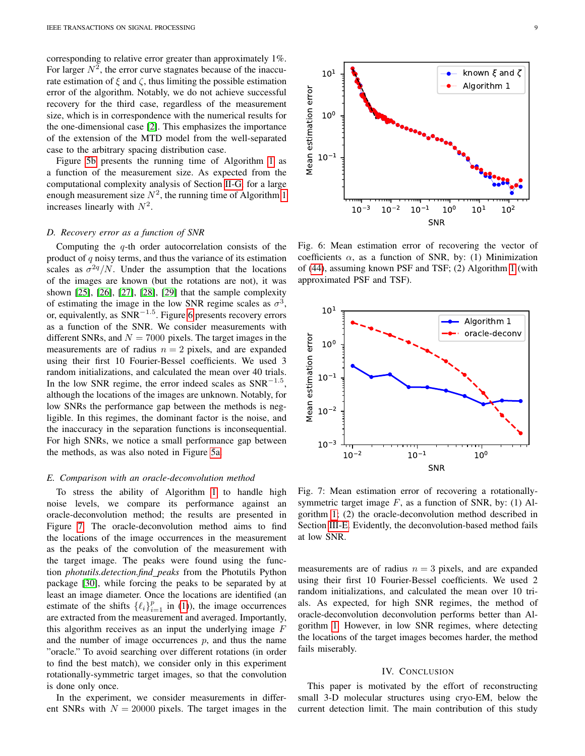corresponding to relative error greater than approximately 1%. For larger  $N^2$ , the error curve stagnates because of the inaccurate estimation of  $\xi$  and  $\zeta$ , thus limiting the possible estimation error of the algorithm. Notably, we do not achieve successful recovery for the third case, regardless of the measurement size, which is in correspondence with the numerical results for the one-dimensional case [\[2\]](#page-9-1). This emphasizes the importance of the extension of the MTD model from the well-separated case to the arbitrary spacing distribution case.

Figure [5b](#page-7-2) presents the running time of Algorithm [1](#page-5-1) as a function of the measurement size. As expected from the computational complexity analysis of Section [II-G,](#page-5-3) for a large enough measurement size  $N^2$ , the running time of Algorithm [1](#page-5-1) increases linearly with  $N^2$ .

## *D. Recovery error as a function of SNR*

Computing the  $q$ -th order autocorrelation consists of the product of  $q$  noisy terms, and thus the variance of its estimation scales as  $\sigma^{2q}/N$ . Under the assumption that the locations of the images are known (but the rotations are not), it was shown [\[25\]](#page-9-24), [\[26\]](#page-9-25), [\[27\]](#page-9-26), [\[28\]](#page-9-27), [\[29\]](#page-9-28) that the sample complexity of estimating the image in the low SNR regime scales as  $\sigma^3$ , or, equivalently, as  $SNR^{-1.5}$ . Figure [6](#page-8-0) presents recovery errors as a function of the SNR. We consider measurements with different SNRs, and  $N = 7000$  pixels. The target images in the measurements are of radius  $n = 2$  pixels, and are expanded using their first 10 Fourier-Bessel coefficients. We used 3 random initializations, and calculated the mean over 40 trials. In the low SNR regime, the error indeed scales as  $SNR^{-1.5}$ , although the locations of the images are unknown. Notably, for low SNRs the performance gap between the methods is negligible. In this regimes, the dominant factor is the noise, and the inaccuracy in the separation functions is inconsequential. For high SNRs, we notice a small performance gap between the methods, as was also noted in Figure [5a.](#page-7-2)

#### <span id="page-8-2"></span>*E. Comparison with an oracle-deconvolution method*

To stress the ability of Algorithm [1](#page-5-1) to handle high noise levels, we compare its performance against an oracle-deconvolution method; the results are presented in Figure [7.](#page-8-1) The oracle-deconvolution method aims to find the locations of the image occurrences in the measurement as the peaks of the convolution of the measurement with the target image. The peaks were found using the function *photutils.detection.find peaks* from the Photutils Python package [\[30\]](#page-9-29), while forcing the peaks to be separated by at least an image diameter. Once the locations are identified (an estimate of the shifts  $\{\ell_i\}_{i=1}^p$  in [\(1\)](#page-0-1)), the image occurrences are extracted from the measurement and averaged. Importantly, this algorithm receives as an input the underlying image  $F$ and the number of image occurrences  $p$ , and thus the name "oracle." To avoid searching over different rotations (in order to find the best match), we consider only in this experiment rotationally-symmetric target images, so that the convolution is done only once.

In the experiment, we consider measurements in different SNRs with  $N = 20000$  pixels. The target images in the



Mean estimation error Mean estimation error  $10<sup>0</sup>$  $10^{-1}$  $10^{-3}$  $10^{-2}$  $10^{-1}$  $10^{0}$  $10^{1}$  $1^{1}$  10<sup>2</sup> SNR

<span id="page-8-0"></span> $10<sup>1</sup>$ 

Fig. 6: Mean estimation error of recovering the vector of coefficients  $\alpha$ , as a function of SNR, by: (1) Minimization of [\(44\)](#page-5-0), assuming known PSF and TSF; (2) Algorithm [1](#page-5-1) (with approximated PSF and TSF).

<span id="page-8-1"></span>

Fig. 7: Mean estimation error of recovering a rotationallysymmetric target image  $F$ , as a function of SNR, by: (1) Algorithm [1;](#page-5-1) (2) the oracle-deconvolution method described in Section [III-E.](#page-8-2) Evidently, the deconvolution-based method fails at low SNR.

measurements are of radius  $n = 3$  pixels, and are expanded using their first 10 Fourier-Bessel coefficients. We used 2 random initializations, and calculated the mean over 10 trials. As expected, for high SNR regimes, the method of oracle-deconvolution deconvolution performs better than Algorithm [1.](#page-5-1) However, in low SNR regimes, where detecting the locations of the target images becomes harder, the method fails miserably.

## IV. CONCLUSION

This paper is motivated by the effort of reconstructing small 3-D molecular structures using cryo-EM, below the current detection limit. The main contribution of this study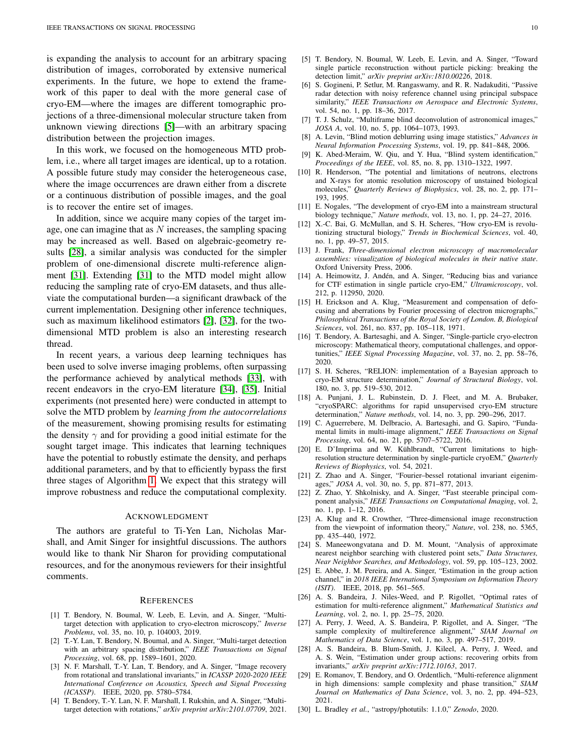is expanding the analysis to account for an arbitrary spacing distribution of images, corroborated by extensive numerical experiments. In the future, we hope to extend the framework of this paper to deal with the more general case of cryo-EM—where the images are different tomographic projections of a three-dimensional molecular structure taken from unknown viewing directions [\[5\]](#page-9-4)—with an arbitrary spacing distribution between the projection images.

In this work, we focused on the homogeneous MTD problem, i.e., where all target images are identical, up to a rotation. A possible future study may consider the heterogeneous case, where the image occurrences are drawn either from a discrete or a continuous distribution of possible images, and the goal is to recover the entire set of images.

In addition, since we acquire many copies of the target image, one can imagine that as  $N$  increases, the sampling spacing may be increased as well. Based on algebraic-geometry results [\[28\]](#page-9-27), a similar analysis was conducted for the simpler problem of one-dimensional discrete multi-reference alignment [\[31\]](#page-10-3). Extending [\[31\]](#page-10-3) to the MTD model might allow reducing the sampling rate of cryo-EM datasets, and thus alleviate the computational burden—a significant drawback of the current implementation. Designing other inference techniques, such as maximum likelihood estimators [\[2\]](#page-9-1), [\[32\]](#page-10-4), for the twodimensional MTD problem is also an interesting research thread.

In recent years, a various deep learning techniques has been used to solve inverse imaging problems, often surpassing the performance achieved by analytical methods [\[33\]](#page-10-5), with recent endeavors in the cryo-EM literature [\[34\]](#page-10-6), [\[35\]](#page-10-7). Initial experiments (not presented here) were conducted in attempt to solve the MTD problem by *learning from the autocorrelations* of the measurement, showing promising results for estimating the density  $\gamma$  and for providing a good initial estimate for the sought target image. This indicates that learning techniques have the potential to robustly estimate the density, and perhaps additional parameters, and by that to efficiently bypass the first three stages of Algorithm [1.](#page-5-1) We expect that this strategy will improve robustness and reduce the computational complexity.

#### ACKNOWLEDGMENT

The authors are grateful to Ti-Yen Lan, Nicholas Marshall, and Amit Singer for insightful discussions. The authors would like to thank Nir Sharon for providing computational resources, and for the anonymous reviewers for their insightful comments.

#### **REFERENCES**

- <span id="page-9-0"></span>[1] T. Bendory, N. Boumal, W. Leeb, E. Levin, and A. Singer, "Multitarget detection with application to cryo-electron microscopy," *Inverse Problems*, vol. 35, no. 10, p. 104003, 2019.
- <span id="page-9-1"></span>[2] T.-Y. Lan, T. Bendory, N. Boumal, and A. Singer, "Multi-target detection with an arbitrary spacing distribution," *IEEE Transactions on Signal Processing*, vol. 68, pp. 1589–1601, 2020.
- <span id="page-9-2"></span>[3] N. F. Marshall, T.-Y. Lan, T. Bendory, and A. Singer, "Image recovery from rotational and translational invariants," in *ICASSP 2020-2020 IEEE International Conference on Acoustics, Speech and Signal Processing (ICASSP)*. IEEE, 2020, pp. 5780–5784.
- <span id="page-9-3"></span>[4] T. Bendory, T.-Y. Lan, N. F. Marshall, I. Rukshin, and A. Singer, "Multitarget detection with rotations," *arXiv preprint arXiv:2101.07709*, 2021.
- <span id="page-9-4"></span>[5] T. Bendory, N. Boumal, W. Leeb, E. Levin, and A. Singer, "Toward single particle reconstruction without particle picking: breaking the detection limit," *arXiv preprint arXiv:1810.00226*, 2018.
- <span id="page-9-5"></span>[6] S. Gogineni, P. Setlur, M. Rangaswamy, and R. R. Nadakuditi, "Passive radar detection with noisy reference channel using principal subspace similarity," *IEEE Transactions on Aerospace and Electronic Systems*, vol. 54, no. 1, pp. 18–36, 2017.
- <span id="page-9-6"></span>[7] T. J. Schulz, "Multiframe blind deconvolution of astronomical images," *JOSA A*, vol. 10, no. 5, pp. 1064–1073, 1993.
- <span id="page-9-7"></span>[8] A. Levin, "Blind motion deblurring using image statistics," *Advances in Neural Information Processing Systems*, vol. 19, pp. 841–848, 2006.
- <span id="page-9-8"></span>[9] K. Abed-Meraim, W. Qiu, and Y. Hua, "Blind system identification," *Proceedings of the IEEE*, vol. 85, no. 8, pp. 1310–1322, 1997.
- <span id="page-9-9"></span>[10] R. Henderson, "The potential and limitations of neutrons, electrons and X-rays for atomic resolution microscopy of unstained biological molecules," *Quarterly Reviews of Biophysics*, vol. 28, no. 2, pp. 171– 193, 1995.
- <span id="page-9-10"></span>[11] E. Nogales, "The development of cryo-EM into a mainstream structural biology technique," *Nature methods*, vol. 13, no. 1, pp. 24–27, 2016.
- <span id="page-9-11"></span>[12] X.-C. Bai, G. McMullan, and S. H. Scheres, "How cryo-EM is revolutionizing structural biology," *Trends in Biochemical Sciences*, vol. 40, no. 1, pp. 49–57, 2015.
- <span id="page-9-12"></span>[13] J. Frank, *Three-dimensional electron microscopy of macromolecular assemblies: visualization of biological molecules in their native state*. Oxford University Press, 2006.
- <span id="page-9-13"></span>[14] A. Heimowitz, J. Andén, and A. Singer, "Reducing bias and variance for CTF estimation in single particle cryo-EM," *Ultramicroscopy*, vol. 212, p. 112950, 2020.
- <span id="page-9-14"></span>[15] H. Erickson and A. Klug, "Measurement and compensation of defocusing and aberrations by Fourier processing of electron micrographs," *Philosophical Transactions of the Royal Society of London. B, Biological Sciences*, vol. 261, no. 837, pp. 105–118, 1971.
- <span id="page-9-15"></span>[16] T. Bendory, A. Bartesaghi, and A. Singer, "Single-particle cryo-electron microscopy: Mathematical theory, computational challenges, and opportunities," *IEEE Signal Processing Magazine*, vol. 37, no. 2, pp. 58–76, 2020.
- <span id="page-9-16"></span>[17] S. H. Scheres, "RELION: implementation of a Bayesian approach to cryo-EM structure determination," *Journal of Structural Biology*, vol. 180, no. 3, pp. 519–530, 2012.
- <span id="page-9-17"></span>[18] A. Punjani, J. L. Rubinstein, D. J. Fleet, and M. A. Brubaker, "cryoSPARC: algorithms for rapid unsupervised cryo-EM structure determination," *Nature methods*, vol. 14, no. 3, pp. 290–296, 2017.
- <span id="page-9-18"></span>[19] C. Aguerrebere, M. Delbracio, A. Bartesaghi, and G. Sapiro, "Fundamental limits in multi-image alignment," *IEEE Transactions on Signal Processing*, vol. 64, no. 21, pp. 5707–5722, 2016.
- <span id="page-9-19"></span>[20] E. D'Imprima and W. Kühlbrandt, "Current limitations to highresolution structure determination by single-particle cryoEM," *Quarterly Reviews of Biophysics*, vol. 54, 2021.
- <span id="page-9-20"></span>[21] Z. Zhao and A. Singer, "Fourier–bessel rotational invariant eigenimages," *JOSA A*, vol. 30, no. 5, pp. 871–877, 2013.
- <span id="page-9-21"></span>[22] Z. Zhao, Y. Shkolnisky, and A. Singer, "Fast steerable principal component analysis," *IEEE Transactions on Computational Imaging*, vol. 2, no. 1, pp. 1–12, 2016.
- <span id="page-9-22"></span>[23] A. Klug and R. Crowther, "Three-dimensional image reconstruction from the viewpoint of information theory," *Nature*, vol. 238, no. 5365, pp. 435–440, 1972.
- <span id="page-9-23"></span>[24] S. Maneewongvatana and D. M. Mount, "Analysis of approximate nearest neighbor searching with clustered point sets," *Data Structures, Near Neighbor Searches, and Methodology*, vol. 59, pp. 105–123, 2002.
- <span id="page-9-24"></span>[25] E. Abbe, J. M. Pereira, and A. Singer, "Estimation in the group action channel," in *2018 IEEE International Symposium on Information Theory (ISIT)*. IEEE, 2018, pp. 561–565.
- <span id="page-9-25"></span>[26] A. S. Bandeira, J. Niles-Weed, and P. Rigollet, "Optimal rates of estimation for multi-reference alignment," *Mathematical Statistics and Learning*, vol. 2, no. 1, pp. 25–75, 2020.
- <span id="page-9-26"></span>[27] A. Perry, J. Weed, A. S. Bandeira, P. Rigollet, and A. Singer, "The sample complexity of multireference alignment," *SIAM Journal on Mathematics of Data Science*, vol. 1, no. 3, pp. 497–517, 2019.
- <span id="page-9-27"></span>[28] A. S. Bandeira, B. Blum-Smith, J. Kileel, A. Perry, J. Weed, and A. S. Wein, "Estimation under group actions: recovering orbits from invariants," *arXiv preprint arXiv:1712.10163*, 2017.
- <span id="page-9-28"></span>[29] E. Romanov, T. Bendory, and O. Ordentlich, "Multi-reference alignment in high dimensions: sample complexity and phase transition," *SIAM Journal on Mathematics of Data Science*, vol. 3, no. 2, pp. 494–523, 2021.
- <span id="page-9-29"></span>[30] L. Bradley *et al.*, "astropy/photutils: 1.1.0," *Zenodo*, 2020.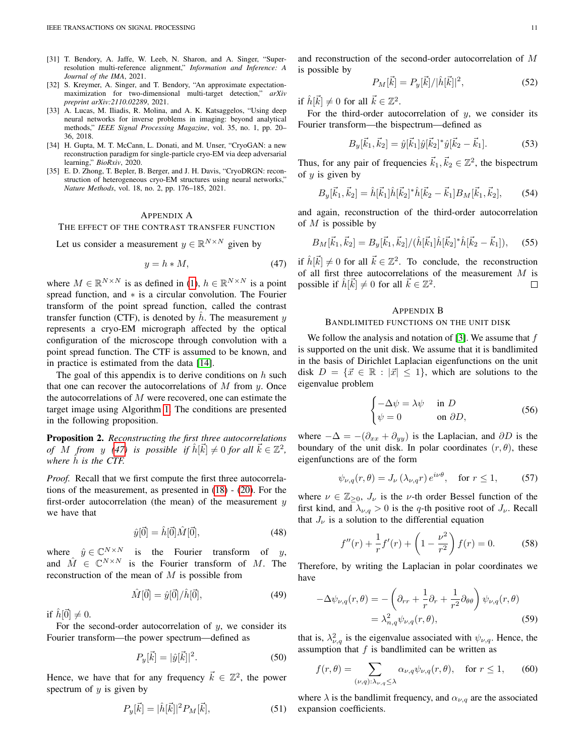- <span id="page-10-3"></span>[31] T. Bendory, A. Jaffe, W. Leeb, N. Sharon, and A. Singer, "Superresolution multi-reference alignment," *Information and Inference: A Journal of the IMA*, 2021.
- <span id="page-10-4"></span>[32] S. Kreymer, A. Singer, and T. Bendory, "An approximate expectationmaximization for two-dimensional multi-target detection," *arXiv preprint arXiv:2110.02289*, 2021.
- <span id="page-10-5"></span>[33] A. Lucas, M. Iliadis, R. Molina, and A. K. Katsaggelos, "Using deep neural networks for inverse problems in imaging: beyond analytical methods," *IEEE Signal Processing Magazine*, vol. 35, no. 1, pp. 20– 36, 2018.
- <span id="page-10-6"></span>[34] H. Gupta, M. T. McCann, L. Donati, and M. Unser, "CryoGAN: a new reconstruction paradigm for single-particle cryo-EM via deep adversarial learning," *BioRxiv*, 2020.
- <span id="page-10-7"></span>[35] E. D. Zhong, T. Bepler, B. Berger, and J. H. Davis, "CryoDRGN: reconstruction of heterogeneous cryo-EM structures using neural networks," *Nature Methods*, vol. 18, no. 2, pp. 176–185, 2021.

#### <span id="page-10-1"></span>APPENDIX A

#### THE EFFECT OF THE CONTRAST TRANSFER FUNCTION

Let us consider a measurement  $y \in \mathbb{R}^{N \times N}$  given by

<span id="page-10-8"></span>
$$
y = h * M,\tag{47}
$$

where  $M \in \mathbb{R}^{N \times N}$  is as defined in [\(1\)](#page-0-1),  $h \in \mathbb{R}^{N \times N}$  is a point spread function, and ∗ is a circular convolution. The Fourier transform of the point spread function, called the contrast transfer function (CTF), is denoted by  $h$ . The measurement  $y$ represents a cryo-EM micrograph affected by the optical configuration of the microscope through convolution with a point spread function. The CTF is assumed to be known, and in practice is estimated from the data [\[14\]](#page-9-13).

The goal of this appendix is to derive conditions on  $h$  such that one can recover the autocorrelations of  $M$  from  $y$ . Once the autocorrelations of  $M$  were recovered, one can estimate the target image using Algorithm [1.](#page-5-1) The conditions are presented in the following proposition.

<span id="page-10-0"></span>Proposition 2. *Reconstructing the first three autocorrelations of* M *from* y [\(47\)](#page-10-8) is possible if  $\hat{h}[\vec{k}] \neq 0$  *for all*  $\vec{k} \in \mathbb{Z}^2$ , *where*  $\hat{h}$  *is the CTF.* 

*Proof.* Recall that we first compute the first three autocorrelations of the measurement, as presented in [\(18\)](#page-2-7) - [\(20\)](#page-2-5). For the first-order autocorrelation (the mean) of the measurement  $y$ we have that

$$
\hat{y}[\vec{0}] = \hat{h}[\vec{0}]\hat{M}[\vec{0}],\tag{48}
$$

where  $\hat{y} \in \mathbb{C}^{N \times N}$  is the Fourier transform of y, and  $\hat{M} \in \mathbb{C}^{N \times N}$  is the Fourier transform of M. The reconstruction of the mean of  $M$  is possible from

$$
\hat{M}[\vec{0}] = \hat{y}[\vec{0}]/\hat{h}[\vec{0}],\tag{49}
$$

if  $\hat{h}[\vec{0}] \neq 0$ .

For the second-order autocorrelation of  $y$ , we consider its Fourier transform—the power spectrum—defined as

$$
P_y[\vec{k}] = |\hat{y}[\vec{k}]|^2.
$$
 (50)

Hence, we have that for any frequency  $\vec{k} \in \mathbb{Z}^2$ , the power spectrum of  $y$  is given by

$$
P_y[\vec{k}] = |\hat{h}[\vec{k}]|^2 P_M[\vec{k}], \tag{51}
$$

and reconstruction of the second-order autocorrelation of M is possible by

$$
P_M[\vec{k}] = P_y[\vec{k}] / |\hat{h}[\vec{k}]|^2, \tag{52}
$$

if  $\hat{h}[\vec{k}] \neq 0$  for all  $\vec{k} \in \mathbb{Z}^2$ .

For the third-order autocorrelation of  $y$ , we consider its Fourier transform—the bispectrum—defined as

$$
B_y[\vec{k}_1, \vec{k}_2] = \hat{y}[\vec{k}_1] \hat{y}[\vec{k}_2]^* \hat{y}[\vec{k}_2 - \vec{k}_1]. \tag{53}
$$

Thus, for any pair of frequencies  $\vec{k}_1, \vec{k}_2 \in \mathbb{Z}^2$ , the bispectrum of  $y$  is given by

$$
B_y[\vec{k}_1, \vec{k}_2] = \hat{h}[\vec{k}_1] \hat{h}[\vec{k}_2]^* \hat{h}[\vec{k}_2 - \vec{k}_1] B_M[\vec{k}_1, \vec{k}_2],\tag{54}
$$

and again, reconstruction of the third-order autocorrelation of  $M$  is possible by

$$
B_M[\vec{k}_1, \vec{k}_2] = B_y[\vec{k}_1, \vec{k}_2] / (\hat{h}[\vec{k}_1] \hat{h}[\vec{k}_2]^* \hat{h}[\vec{k}_2 - \vec{k}_1]), \quad (55)
$$

if  $\hat{h}[\vec{k}] \neq 0$  for all  $\vec{k} \in \mathbb{Z}^2$ . To conclude, the reconstruction of all first three autocorrelations of the measurement M is possible if  $\hat{h}[\vec{k}] \neq 0$  for all  $\vec{k} \in \mathbb{Z}^2$ .  $\Box$ 

## <span id="page-10-2"></span>APPENDIX B BANDLIMITED FUNCTIONS ON THE UNIT DISK

We follow the analysis and notation of [\[3\]](#page-9-2). We assume that  $f$ is supported on the unit disk. We assume that it is bandlimited in the basis of Dirichlet Laplacian eigenfunctions on the unit disk  $D = \{\vec{x} \in \mathbb{R} : |\vec{x}| \leq 1\}$ , which are solutions to the eigenvalue problem

$$
\begin{cases}\n-\Delta \psi = \lambda \psi & \text{in } D \\
\psi = 0 & \text{on } \partial D,\n\end{cases}
$$
\n(56)

where  $-\Delta = -(\partial_{xx} + \partial_{yy})$  is the Laplacian, and  $\partial D$  is the boundary of the unit disk. In polar coordinates  $(r, \theta)$ , these eigenfunctions are of the form

$$
\psi_{\nu,q}(r,\theta) = J_{\nu}\left(\lambda_{\nu,q}r\right)e^{i\nu\theta}, \quad \text{for } r \le 1,\tag{57}
$$

where  $\nu \in \mathbb{Z}_{\geq 0}$ ,  $J_{\nu}$  is the  $\nu$ -th order Bessel function of the first kind, and  $\lambda_{\nu,q} > 0$  is the q-th positive root of  $J_{\nu}$ . Recall that  $J_{\nu}$  is a solution to the differential equation

$$
f''(r) + \frac{1}{r}f'(r) + \left(1 - \frac{\nu^2}{r^2}\right)f(r) = 0.
$$
 (58)

Therefore, by writing the Laplacian in polar coordinates we have

$$
-\Delta \psi_{\nu,q}(r,\theta) = -\left(\partial_{rr} + \frac{1}{r}\partial_r + \frac{1}{r^2}\partial_{\theta\theta}\right)\psi_{\nu,q}(r,\theta)
$$

$$
= \lambda_{n,q}^2 \psi_{\nu,q}(r,\theta), \tag{59}
$$

that is,  $\lambda_{\nu,q}^2$  is the eigenvalue associated with  $\psi_{\nu,q}$ . Hence, the assumption that  $f$  is bandlimited can be written as

$$
f(r,\theta) = \sum_{(\nu,q):\lambda_{\nu,q}\leq\lambda} \alpha_{\nu,q} \psi_{\nu,q}(r,\theta), \quad \text{for } r \leq 1,
$$
 (60)

where  $\lambda$  is the bandlimit frequency, and  $\alpha_{\nu,q}$  are the associated expansion coefficients.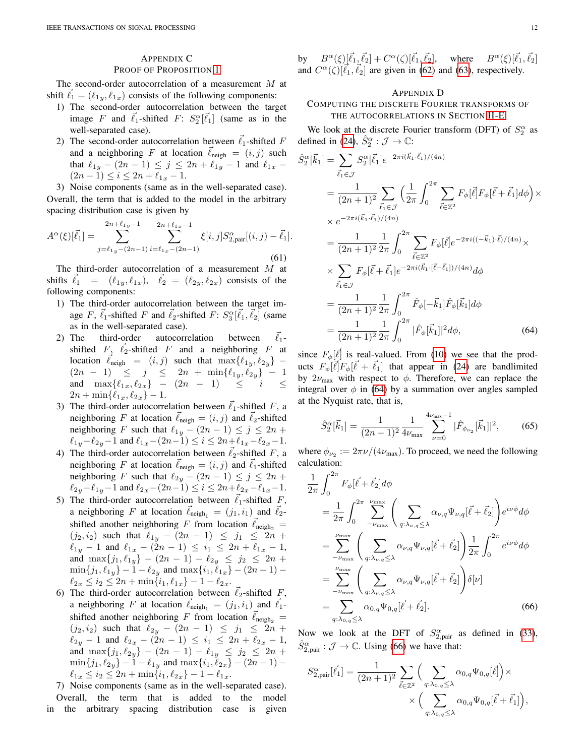# <span id="page-11-0"></span>APPENDIX C

#### PROOF OF PROPOSITION [1](#page-4-0)

The second-order autocorrelation of a measurement M at shift  $\ell_1 = (\ell_{1y}, \ell_{1x})$  consists of the following components:

- 1) The second-order autocorrelation between the target image F and  $\vec{\ell}_1$ -shifted F:  $S_2^{\alpha}[\vec{\ell}_1]$  (same as in the well-separated case).
- 2) The second-order autocorrelation between  $\vec{\ell}_1$ -shifted F and a neighboring F at location  $\ell_{\text{neigh}} = (i, j)$  such that  $\ell_{1y} - (2n - 1) \le j \le 2n + \ell_{1y} - 1$  and  $\ell_{1x}$  –  $(2n - 1) \leq i \leq 2n + \ell_{1x} - 1.$

3) Noise components (same as in the well-separated case). Overall, the term that is added to the model in the arbitrary spacing distribution case is given by

<span id="page-11-1"></span>
$$
A^{\alpha}(\xi)[\vec{\ell}_{1}] = \sum_{j=\ell_{1y}-(2n-1)}^{2n+\ell_{1y}-1} \sum_{i=\ell_{1x}-(2n-1)}^{2n+\ell_{1x}-1} \xi[i,j] S_{2,\text{pair}}^{\alpha}[(i,j)-\vec{\ell}_{1}].
$$
\n(61)

The third-order autocorrelation of a measurement M at shifts  $\vec{\ell}_1 = (\ell_{1y}, \ell_{1x}), \quad \vec{\ell}_2 = (\ell_{2y}, \ell_{2x})$  consists of the following components:

- 1) The third-order autocorrelation between the target image F,  $\vec{\ell}_1$ -shifted F and  $\vec{\ell}_2$ -shifted F:  $S_3^{\alpha}[\vec{\ell}_1, \vec{\ell}_2]$  (same as in the well-separated case).
- 2) The third-order autocorrelation between  $\vec{\ell}_1$ shifted  $F$ ,  $\vec{\ell}_2$ -shifted  $F$  and a neighboring  $F$  at location  $\vec{\ell}_{\text{neigh}} = (i, j)$  such that  $\max\{\ell_{1y}, \ell_{2y}\}$  –  $(2n - 1) \leq j \leq 2n + \min\{\ell_{1y}, \ell_{2y}\} - 1$ and  $\max\{\ell_{1x}, \ell_{2x}\}$  –  $(2n - 1) \leq i \leq$  $2n + \min\{\ell_{1x}, \ell_{2x}\} - 1.$
- 3) The third-order autocorrelation between  $\vec{\ell}_1$ -shifted F, a neighboring F at location  $\ell_{\text{neigh}} = (i, j)$  and  $\ell_2$ -shifted neighboring F such that  $\ell_{1y} - (2n - 1) \le j \le 2n + 1$  $\ell_{1y}-\ell_{2y}-1$  and  $\ell_{1x}-(2n-1) \leq i \leq 2n+\ell_{1x}-\ell_{2x}-1$ .
- 4) The third-order autocorrelation between  $\ell_2$ -shifted F, a neighboring F at location  $\ell_{\text{neigh}} = (i, j)$  and  $\ell_1$ -shifted neighboring F such that  $\ell_{2y} - (2n - 1) \le j \le 2n + 1$  $\ell_{2y}-\ell_{1y}-1$  and  $\ell_{2x}-(2n-1) \leq i \leq 2n+\ell_{2x}-\ell_{1x}-1.$
- 5) The third-order autocorrelation between  $\ell_1$ -shifted F, a neighboring F at location  $\ell_{\text{neigh}_1} = (j_1, i_1)$  and  $\ell_2$ shifted another neighboring F from location  $\ell_{\text{neigh}_2}$  =  $(j_2, i_2)$  such that  $\ell_{1y}$  –  $(2n - 1) \le j_1 \le 2n +$  $\ell_{1y} - 1$  and  $\ell_{1x} - (2n - 1) \leq i_1 \leq 2n + \ell_{1x} - 1$ , and  $\max\{j_1, \ell_{1y}\} - (2n - 1) - \ell_{2y} \leq j_2 \leq 2n +$  $\min\{j_1, \ell_{1y}\} - 1 - \ell_{2y}$  and  $\max\{i_1, \ell_{1x}\} - (2n - 1) \ell_{2x} \leq i_2 \leq 2n + \min\{i_1, \ell_{1x}\} - 1 - \ell_{2x}.$
- 6) The third-order autocorrelation between  $\ell_2$ -shifted F, a neighboring F at location  $\bar{\ell}_{\text{neigh}_1} = (j_1, i_1)$  and  $\bar{\ell}_1$ shifted another neighboring F from location  $\ell_{\text{neigh}}$  =  $(j_2, i_2)$  such that  $\ell_{2y} - (2n - 1) \leq j_1 \leq 2n +$  $\ell_{2y} - 1$  and  $\ell_{2x} - (2n - 1) \leq i_1 \leq 2n + \ell_{2x} - 1$ , and  $\max\{j_1, \ell_{2y}\}$  –  $(2n - 1) - \ell_{1y} \le j_2 \le 2n +$  $\min\{j_1, \ell_{2y}\} - 1 - \ell_{1y}$  and  $\max\{i_1, \ell_{2x}\} - (2n - 1) \ell_{1x} \leq i_2 \leq 2n + \min\{i_1, \ell_{2x}\} - 1 - \ell_{1x}.$
- 7) Noise components (same as in the well-separated case). Overall, the term that is added to the model in the arbitrary spacing distribution case is given

by  $B^{\alpha}(\xi)[\vec{\ell}_1, \vec{\ell}_2] + C^{\alpha}(\zeta)[\vec{\ell}_1, \vec{\ell}_2], \text{ where } B^{\alpha}(\xi)[\vec{\ell}_1, \vec{\ell}_2]$ and  $C^{\alpha}(\zeta)[\vec{\ell}_1, \vec{\ell}_2]$  are given in [\(62\)](#page-12-0) and [\(63\)](#page-12-1), respectively.

# <span id="page-11-2"></span>APPENDIX D

# COMPUTING THE DISCRETE FOURIER TRANSFORMS OF THE AUTOCORRELATIONS IN SECTION [II-E](#page-4-3)

We look at the discrete Fourier transform (DFT) of  $S_2^{\alpha}$  as defined in [\(24\)](#page-3-7),  $\hat{S}_2^{\alpha}$  :  $\mathcal{J} \to \mathbb{C}$ :

$$
\hat{S}_{2}^{\alpha}[\vec{k}_{1}] = \sum_{\vec{\ell}_{1} \in \mathcal{J}} S_{2}^{\alpha}[\vec{\ell}_{1}] e^{-2\pi i (\vec{k}_{1} \cdot \vec{\ell}_{1})/(4n)} \n= \frac{1}{(2n+1)^{2}} \sum_{\vec{\ell}_{1} \in \mathcal{J}} \left( \frac{1}{2\pi} \int_{0}^{2\pi} \sum_{\vec{\ell} \in \mathbb{Z}^{2}} F_{\phi}[\vec{\ell}] F_{\phi}[\vec{\ell} + \vec{\ell}_{1}] d\phi \right) \times \n\times e^{-2\pi i (\vec{k}_{1} \cdot \vec{\ell}_{1})/(4n)} \n= \frac{1}{(2n+1)^{2}} \frac{1}{2\pi} \int_{0}^{2\pi} \sum_{\vec{\ell} \in \mathbb{Z}^{2}} F_{\phi}[\vec{\ell}] e^{-2\pi i ((-\vec{k}_{1}) \cdot \vec{\ell})/(4n)} \times \n\times \sum_{\vec{\ell}_{1} \in \mathcal{J}} F_{\phi}[\vec{\ell} + \vec{\ell}_{1}] e^{-2\pi i (\vec{k}_{1} \cdot [\vec{\ell} + \vec{\ell}_{1}])/(4n)} d\phi \n= \frac{1}{(2n+1)^{2}} \frac{1}{2\pi} \int_{0}^{2\pi} \hat{F}_{\phi}[-\vec{k}_{1}] \hat{F}_{\phi}[\vec{k}_{1}] d\phi \n= \frac{1}{(2n+1)^{2}} \frac{1}{2\pi} \int_{0}^{2\pi} |\hat{F}_{\phi}[\vec{k}_{1}]|^{2} d\phi, \qquad (64)
$$

since  $F_{\phi}[\vec{\ell}]$  is real-valued. From [\(10\)](#page-2-8) we see that the products  $F_{\phi}[\vec{\ell}]F_{\phi}[\vec{\ell} + \vec{\ell}_1]$  that appear in [\(24\)](#page-3-7) are bandlimited by  $2\nu_{\text{max}}$  with respect to  $\phi$ . Therefore, we can replace the integral over  $\phi$  in [\(64\)](#page-11-3) by a summation over angles sampled at the Nyquist rate, that is,

<span id="page-11-3"></span>
$$
\hat{S}_2^{\alpha}[\vec{k}_1] = \frac{1}{(2n+1)^2} \frac{1}{4\nu_{\text{max}}} \sum_{\nu=0}^{4\nu_{\text{max}}-1} |\hat{F}_{\phi_{\nu_2}}[\vec{k}_1]|^2, \qquad (65)
$$

where  $\phi_{\nu_2} := 2\pi \nu / (4\nu_{\text{max}})$ . To proceed, we need the following calculation:

$$
\frac{1}{2\pi} \int_0^{2\pi} F_{\phi} [\vec{\ell} + \vec{\ell}_2] d\phi
$$
\n
$$
= \frac{1}{2\pi} \int_0^{2\pi} \sum_{-\nu_{\text{max}}}^{\nu_{\text{max}}} \left( \sum_{q:\lambda_{\nu,q} \leq \lambda} \alpha_{\nu,q} \Psi_{\nu,q} [\vec{\ell} + \vec{\ell}_2] \right) e^{i\nu\phi} d\phi
$$
\n
$$
= \sum_{-\nu_{\text{max}}}^{\nu_{\text{max}}} \left( \sum_{q:\lambda_{\nu,q} \leq \lambda} \alpha_{\nu,q} \Psi_{\nu,q} [\vec{\ell} + \vec{\ell}_2] \right) \frac{1}{2\pi} \int_0^{2\pi} e^{i\nu\phi} d\phi
$$
\n
$$
= \sum_{-\nu_{\text{max}}}^{\nu_{\text{max}}} \left( \sum_{q:\lambda_{\nu,q} \leq \lambda} \alpha_{\nu,q} \Psi_{\nu,q} [\vec{\ell} + \vec{\ell}_2] \right) \delta[\nu]
$$
\n
$$
= \sum_{q:\lambda_{0,q} \leq \lambda} \alpha_{0,q} \Psi_{0,q} [\vec{\ell} + \vec{\ell}_2]. \tag{66}
$$

Now we look at the DFT of  $S_{2,\text{pair}}^{\alpha}$  as defined in [\(33\)](#page-4-5),  $\hat{S}_{2,\text{pair}}^{\alpha} : \mathcal{J} \to \mathbb{C}$ . Using [\(66\)](#page-11-4) we have that:

<span id="page-11-4"></span>
$$
S_{2,\text{pair}}^{\alpha}[\vec{\ell}_1] = \frac{1}{(2n+1)^2} \sum_{\vec{\ell} \in \mathbb{Z}^2} \Big( \sum_{q:\lambda_{0,q} \leq \lambda} \alpha_{0,q} \Psi_{0,q}[\vec{\ell}] \Big) \times \\ \times \Big( \sum_{q:\lambda_{0,q} \leq \lambda} \alpha_{0,q} \Psi_{0,q}[\vec{\ell} + \vec{\ell}_1] \Big),
$$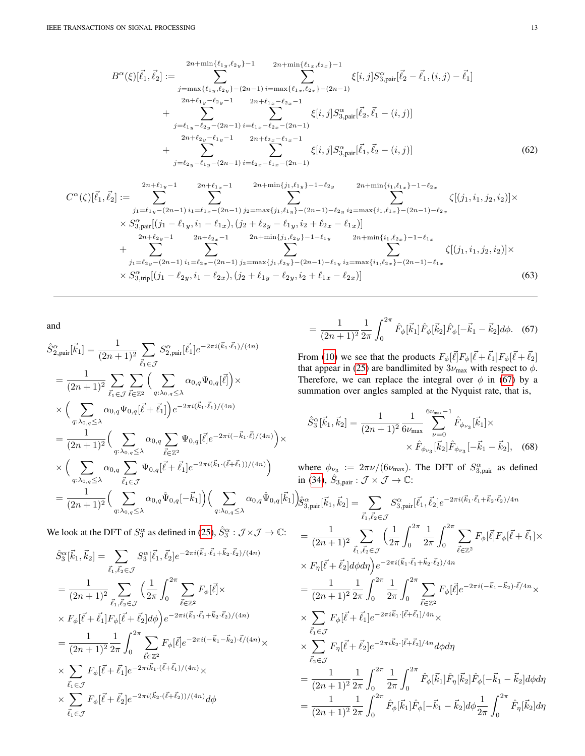$$
B^{\alpha}(\xi)[\vec{\ell}_{1},\vec{\ell}_{2}] := \sum_{j=\max\{\ell_{1y},\ell_{2y}\}-(2n-1)}^{2n+\min\{\ell_{1x},\ell_{2x}\}-1} \xi[i,j]S_{3,\text{pair}}^{\alpha}[\vec{\ell}_{2}-\vec{\ell}_{1},(i,j)-\vec{\ell}_{1}]
$$
  
\n
$$
B^{\alpha}(\xi)[\vec{\ell}_{1},\vec{\ell}_{2}] := \sum_{j=\max\{\ell_{1y},\ell_{2y}\}-(2n-1)}^{2n+\min\{\ell_{1x},\ell_{2x}\}-(2n-1)} \xi[i,j]S_{3,\text{pair}}^{\alpha}[\vec{\ell}_{2}-\vec{\ell}_{1},(i,j)-\vec{\ell}_{1}]
$$
  
\n
$$
B^{\alpha}(\xi)[\vec{\ell}_{1},\vec{\ell}_{2}] := \sum_{j=\ell_{1y}-\ell_{2y}-1}^{2n+\ell_{1y}-\ell_{2y}-1} 2n+\ell_{1x}-\ell_{2x}-1} \xi[i,j]S_{3,\text{pair}}^{\alpha}[\vec{\ell}_{2},\vec{\ell}_{1}-(i,j)]
$$
  
\n
$$
B^{\alpha}(\xi)[\vec{\ell}_{1},\vec{\ell}_{2}-(i,j)]
$$
  
\n
$$
B^{\alpha}(\xi)[\vec{\ell}_{1},\vec{\ell}_{2}-(i,j)]
$$
  
\n
$$
B^{\alpha}(\xi)[\vec{\ell}_{1},\vec{\ell}_{2}-(i,j)]
$$
  
\n
$$
B^{\alpha}(\xi)[\vec{\ell}_{1},\vec{\ell}_{2}-(i,j)]
$$
  
\n
$$
B^{\alpha}(\xi)[\vec{\ell}_{1},\vec{\ell}_{2}-(i,j)]
$$
  
\n
$$
B^{\alpha}(\xi)[\vec{\ell}_{1},\vec{\ell}_{2}-(i,j)]
$$
  
\n
$$
B^{\alpha}(\xi)[\vec{\ell}_{1},\vec{\ell}_{2}-(i,j)]
$$
  
\n
$$
B^{\alpha}(\xi)[\vec{\ell}_{1},\vec{\ell}_{2}-(i,j)]
$$
  
\n
$$
B^{\alpha}(\xi)[\vec{\ell}_{1},\vec{\ell}_{2}-(i,j)]
$$
  
\n
$$
B^{\alpha}(\xi)[\vec{\ell}_{1},\vec{\ell}_{2}+(i,j)]
$$
  
\n
$$
B^{\alpha}
$$

$$
C^{\alpha}(\zeta)[\vec{\ell}_{1},\vec{\ell}_{2}] := \sum_{j_{1}=\ell_{1y}-(2n-1)}^{2n+\ell_{1y}-1} \sum_{i_{1}=\ell_{1x}-(2n-1)}^{2n+\min\{j_{1},\ell_{1y}\}-1-\ell_{2y}} \sum_{i_{2}=\max\{i_{1},\ell_{1x}\}-(2n-1)-\ell_{2x}}^{2n+\min\{i_{1},\ell_{1x}\}-1-\ell_{2x}} \zeta[(j_{1},i_{1},j_{2},i_{2})] \times \times S_{3,pair}^{\alpha}[(j_{1}-\ell_{1y},i_{1}-\ell_{1x}), (j_{2}+\ell_{2y}-\ell_{1y},i_{2}+\ell_{2x}-\ell_{1x})] \n+ \sum_{j_{1}=\ell_{2y}-(2n-1)}^{2n+\ell_{2y}-1} \sum_{i_{1}=\ell_{2x}-(2n-1)}^{2n+\ell_{2x}-1} \sum_{j_{2}=\max\{j_{1},\ell_{2y}\}-1-\ell_{1y}}^{2n+\min\{j_{1},\ell_{2y}\}-1-\ell_{1y}} \sum_{i_{2}=\max\{i_{1},\ell_{2x}\}-1-\ell_{1x}}^{2n+\min\{i_{1},\ell_{2x}\}-1-\ell_{1x}} \zeta[(j_{1},i_{1},j_{2},i_{2})] \times \times S_{3,trip}^{\alpha}[(j_{1}-\ell_{2y},i_{1}-\ell_{2x}), (j_{2}+\ell_{1y}-\ell_{2y},i_{2}+\ell_{1x}-\ell_{2x})] \qquad (63)
$$

and

$$
\hat{S}_{2,\text{pair}}^{\alpha}[\vec{k}_{1}] = \frac{1}{(2n+1)^{2}} \sum_{\vec{\ell}_{1} \in \mathcal{J}} S_{2,\text{pair}}^{\alpha}[\vec{\ell}_{1}] e^{-2\pi i (\vec{k}_{1} \cdot \vec{\ell}_{1})/(4n)}
$$
\n
$$
= \frac{1}{(2n+1)^{2}} \sum_{\vec{\ell}_{1} \in \mathcal{J}} \sum_{\vec{\ell} \in \mathbb{Z}^{2}} \Big( \sum_{q:\lambda_{0,q} \leq \lambda} \alpha_{0,q} \Psi_{0,q}[\vec{\ell}] \Big) \times
$$
\n
$$
\times \Big( \sum_{q:\lambda_{0,q} \leq \lambda} \alpha_{0,q} \Psi_{0,q}[\vec{\ell} + \vec{\ell}_{1}] \Big) e^{-2\pi i (\vec{k}_{1} \cdot \vec{\ell}_{1})/(4n)}
$$
\n
$$
= \frac{1}{(2n+1)^{2}} \Big( \sum_{q:\lambda_{0,q} \leq \lambda} \alpha_{0,q} \sum_{\vec{\ell} \in \mathbb{Z}^{2}} \Psi_{0,q}[\vec{\ell}] e^{-2\pi i (-\vec{k}_{1} \cdot \vec{\ell})/(4n)} \Big) \times
$$
\n
$$
\times \Big( \sum_{q:\lambda_{0,q} \leq \lambda} \alpha_{0,q} \sum_{\vec{\ell}_{1} \in \mathcal{J}} \Psi_{0,q}[\vec{\ell} + \vec{\ell}_{1}] e^{-2\pi i (\vec{k}_{1} \cdot (\vec{\ell} + \vec{\ell}_{1}))/(4n)} \Big)
$$
\n
$$
= \frac{1}{(2n+1)^{2}} \Big( \sum_{q:\lambda_{0,q} \leq \lambda} \alpha_{0,q} \hat{\Psi}_{0,q}[-\vec{k}_{1}] \Big) \Big( \sum_{q:\lambda_{0,q} \leq \lambda} \alpha_{0,q} \hat{\Psi}_{0,q}[\vec{k}_{1}]
$$

We look at the DFT of  $S_3^{\alpha}$  as defined in [\(25\)](#page-3-8),  $\hat{S}_3^{\alpha}$  :  $\mathcal{J} \times \mathcal{J} \to \mathbb{C}$ :

$$
\hat{S}_{3}^{\alpha}[\vec{k}_{1}, \vec{k}_{2}] = \sum_{\vec{l}_{1}, \vec{l}_{2} \in \mathcal{J}} S_{3}^{\alpha}[\vec{l}_{1}, \vec{l}_{2}] e^{-2\pi i (\vec{k}_{1} \cdot \vec{l}_{1} + \vec{k}_{2} \cdot \vec{l}_{2})/(4n)}
$$
\n
$$
= \frac{1}{(2n+1)^{2}} \sum_{\vec{l}_{1}, \vec{l}_{2} \in \mathcal{J}} \left(\frac{1}{2\pi} \int_{0}^{2\pi} \sum_{\vec{l} \in \mathbb{Z}^{2}} F_{\phi}[\vec{l}] \times
$$
\n
$$
\times F_{\phi}[\vec{l} + \vec{l}_{1}] F_{\phi}[\vec{l} + \vec{l}_{2}] d\phi \right) e^{-2\pi i (\vec{k}_{1} \cdot \vec{l}_{1} + \vec{k}_{2} \cdot \vec{l}_{2})/(4n)}
$$
\n
$$
= \frac{1}{(2n+1)^{2}} \frac{1}{2\pi} \int_{0}^{2\pi} \sum_{\vec{l} \in \mathbb{Z}^{2}} F_{\phi}[\vec{l}] e^{-2\pi i (-\vec{k}_{1} - \vec{k}_{2}) \cdot \vec{l}/(4n)} \times
$$
\n
$$
\times \sum_{\vec{l}_{1} \in \mathcal{J}} F_{\phi}[\vec{l} + \vec{l}_{1}] e^{-2\pi i \vec{k}_{1} \cdot (\vec{l} + \vec{l}_{1})/(4n)} \times
$$
\n
$$
\times \sum_{\vec{l}_{1} \in \mathcal{J}} F_{\phi}[\vec{l} + \vec{l}_{2}] e^{-2\pi i (\vec{k}_{2} \cdot (\vec{l} + \vec{l}_{2}))/(4n)} d\phi
$$

<span id="page-12-2"></span><span id="page-12-1"></span><span id="page-12-0"></span>
$$
= \frac{1}{(2n+1)^2} \frac{1}{2\pi} \int_0^{2\pi} \hat{F}_{\phi}[\vec{k}_1] \hat{F}_{\phi}[\vec{k}_2] \hat{F}_{\phi}[-\vec{k}_1 - \vec{k}_2] d\phi. \quad (67)
$$

From [\(10\)](#page-2-8) we see that the products  $F_{\phi}[\vec{\ell}]F_{\phi}[\vec{\ell}+\vec{\ell}_1]F_{\phi}[\vec{\ell}+\vec{\ell}_2]$ that appear in [\(25\)](#page-3-8) are bandlimited by  $3\nu_{\text{max}}$  with respect to  $\phi$ . Therefore, we can replace the integral over  $\phi$  in [\(67\)](#page-12-2) by a summation over angles sampled at the Nyquist rate, that is,

$$
\hat{S}_3^{\alpha}[\vec{k}_1, \vec{k}_2] = \frac{1}{(2n+1)^2} \frac{1}{6\nu_{\text{max}}} \sum_{\nu=0}^{6\nu_{\text{max}}} \hat{F}_{\phi_{\nu_3}}[\vec{k}_1] \times \times \hat{F}_{\phi_{\nu_3}}[\vec{k}_2] \hat{F}_{\phi_{\nu_3}}[-\vec{k}_1 - \vec{k}_2], \quad (68)
$$

where  $\phi_{\nu_3} := 2\pi \nu/(6\nu_{\text{max}})$ . The DFT of  $S_{3,\text{pair}}^{\alpha}$  as defined in [\(34\)](#page-4-6),  $\hat{S}_{3,\text{pair}} : \mathcal{J} \times \mathcal{J} \to \mathbb{C}$ :

$$
I_{1} \left( \hat{g}_{3, pair}^{\alpha}[\vec{k}_{1}, \vec{k}_{2}] \right) = \sum_{\vec{l}_{1}, \vec{l}_{2} \in \mathcal{J}} S_{3, pair}^{\alpha}[\vec{\ell}_{1}, \vec{\ell}_{2}] e^{-2\pi i (\vec{k}_{1} \cdot \vec{\ell}_{1} + \vec{k}_{2} \cdot \vec{\ell}_{2})/4n}
$$
\n
$$
= \frac{1}{(2n+1)^{2}} \sum_{\vec{l}_{1}, \vec{l}_{2} \in \mathcal{J}} \left( \frac{1}{2\pi} \int_{0}^{2\pi} \frac{1}{2\pi} \int_{0}^{2\pi} \sum_{\vec{l}_{2} \in \mathbb{Z}^{2}} F_{\phi}[\vec{\ell}] F_{\phi}[\vec{\ell} + \vec{\ell}_{1}] \times
$$
\n
$$
\times F_{\eta}[\vec{\ell} + \vec{\ell}_{2}] d\phi d\eta \right) e^{-2\pi i (\vec{k}_{1} \cdot \vec{\ell}_{1} + \vec{k}_{2} \cdot \vec{\ell}_{2})/4n}
$$
\n
$$
= \frac{1}{(2n+1)^{2}} \frac{1}{2\pi} \int_{0}^{2\pi} \frac{1}{2\pi} \int_{0}^{2\pi} \sum_{\vec{l} \in \mathbb{Z}^{2}} F_{\phi}[\vec{\ell}] e^{-2\pi i (-\vec{k}_{1} - \vec{k}_{2}) \cdot \vec{\ell}/4n} \times
$$
\n
$$
\times \sum_{\vec{l}_{1} \in \mathcal{J}} F_{\phi}[\vec{\ell} + \vec{\ell}_{1}] e^{-2\pi i \vec{k}_{1} \cdot [\vec{\ell} + \vec{\ell}_{1}]/4n} \times
$$
\n
$$
\times \sum_{\vec{l}_{2} \in \mathcal{J}} F_{\eta}[\vec{\ell} + \vec{\ell}_{2}] e^{-2\pi i \vec{k}_{2} \cdot [\vec{\ell} + \vec{\ell}_{2}]/4n} d\phi d\eta
$$
\n
$$
= \frac{1}{(2n+1)^{2}} \frac{1}{2\pi} \int_{0}^{2\pi} \frac{1}{2\pi} \int_{0}^{2\pi} \hat{F}_{\phi}[\vec{k}_{1}] \hat{F}_{\eta}[\vec{k}_{2}] \hat{F}_{\phi}[-\vec{k}_{1} - \vec{k}_{2}] d\phi d\eta
$$
\n
$$
= \frac{1
$$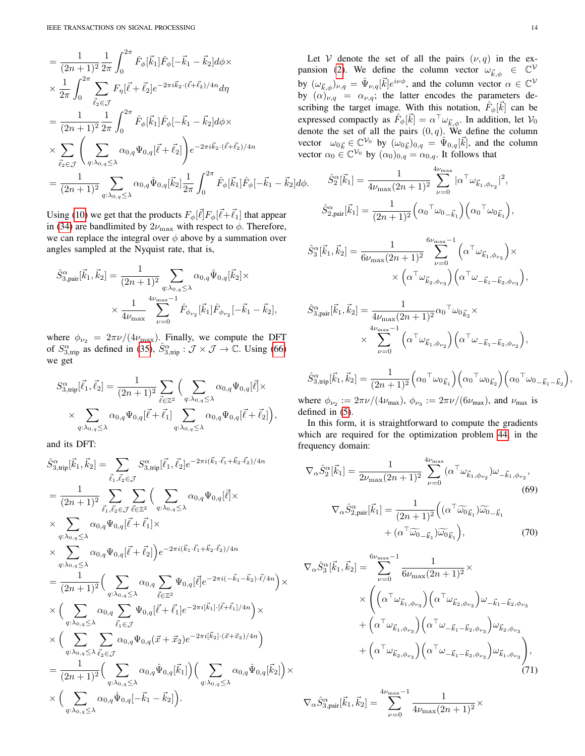$$
= \frac{1}{(2n+1)^2} \frac{1}{2\pi} \int_0^{2\pi} \hat{F}_{\phi}[\vec{k}_1] \hat{F}_{\phi}[-\vec{k}_1 - \vec{k}_2] d\phi \times \n\begin{array}{c}\n\text{1} \\
\text{1} \\
\text{2} \\
\text{2} \\
\text{3} \\
\text{4}\n\end{array}\n\begin{array}{c}\n\text{1} \\
\text{2} \\
\text{3} \\
\text{4}\n\end{array}\n\end{array}
$$
\n
$$
\times \frac{1}{2\pi} \int_0^{2\pi} \sum_{\vec{l}_2 \in \mathcal{J}} F_{\eta}[\vec{l} + \vec{l}_2] e^{-2\pi i \vec{k}_2 \cdot (\vec{l} + \vec{l}_2)/4n} d\eta \n\begin{array}{c}\n\text{by} \\
\text{by} \\
\text{by} \\
\text{scr}\n\end{array}
$$
\n
$$
= \frac{1}{(2n+1)^2} \frac{1}{2\pi} \int_0^{2\pi} \hat{F}_{\phi}[\vec{k}_1] \hat{F}_{\phi}[-\vec{k}_1 - \vec{k}_2] d\phi \times \n\begin{array}{c}\n\text{exp} \\
\text{exp} \\
\text{det} \\
\text{d}\text{er}\n\end{array}
$$
\n
$$
= \frac{1}{(2n+1)^2} \sum_{q:\lambda_{0,q} \leq \lambda} \alpha_{0,q} \hat{\Psi}_{0,q}[\vec{k}_2] \frac{1}{2\pi} \int_0^{2\pi} \hat{F}_{\phi}[\vec{k}_1] \hat{F}_{\phi}[-\vec{k}_1 - \vec{k}_2] d\phi.
$$

Using [\(10\)](#page-2-8) we get that the products  $F_{\phi}[\vec{\ell}]F_{\phi}[\vec{\ell}+\vec{\ell}_1]$  that appear in [\(34\)](#page-4-6) are bandlimited by  $2\nu_{\text{max}}$  with respect to  $\phi$ . Therefore, we can replace the integral over  $\phi$  above by a summation over angles sampled at the Nyquist rate, that is,

$$
\hat{S}_{3,\text{pair}}^{\alpha}[\vec{k}_1, \vec{k}_2] = \frac{1}{(2n+1)^2} \sum_{q:\lambda_{0,q} \leq \lambda} \alpha_{0,q} \hat{\Psi}_{0,q}[\vec{k}_2] \times \times \frac{1}{4\nu_{\text{max}}} \sum_{\nu=0}^{4\nu_{\text{max}}-1} \hat{F}_{\phi_{\nu_2}}[\vec{k}_1] \hat{F}_{\phi_{\nu_2}}[-\vec{k}_1 - \vec{k}_2],
$$

where  $\phi_{\nu_2} = 2\pi \nu/(4\nu_{\text{max}})$ . Finally, we compute the DFT of  $S^{\alpha}_{3,\text{trip}}$  as defined in [\(35\)](#page-4-7),  $\hat{S}^{\alpha}_{3,\text{trip}} : \mathcal{J} \times \mathcal{J} \to \mathbb{C}$ . Using [\(66\)](#page-11-4) we get

$$
S_{3, \text{trip}}^{\alpha}[\vec{\ell}_{1}, \vec{\ell}_{2}] = \frac{1}{(2n+1)^{2}} \sum_{\vec{\ell} \in \mathbb{Z}^{2}} \Big( \sum_{q: \lambda_{0,q} \leq \lambda} \alpha_{0,q} \Psi_{0,q}[\vec{\ell}] \times \times \sum_{q: \lambda_{0,q} \leq \lambda} \alpha_{0,q} \Psi_{0,q}[\vec{\ell} + \vec{\ell}_{1}] \sum_{q: \lambda_{0,q} \leq \lambda} \alpha_{0,q} \Psi_{0,q}[\vec{\ell} + \vec{\ell}_{2}] \Big),
$$

and its DFT:

$$
\hat{S}_{3,trip}^{\alpha}[\vec{k}_{1},\vec{k}_{2}] = \sum_{\vec{\ell}_{1},\vec{\ell}_{2} \in \mathcal{J}} S_{3,trip}^{\alpha}[\vec{\ell}_{1},\vec{\ell}_{2}] e^{-2\pi i (\vec{k}_{1}\cdot\vec{\ell}_{1}+\vec{k}_{2}\cdot\vec{\ell}_{2})/4n}
$$
\n
$$
= \frac{1}{(2n+1)^{2}} \sum_{\vec{\ell}_{1},\vec{\ell}_{2} \in \mathcal{J}} \sum_{\vec{\ell}_{2} \in \mathcal{I}^{2}} \left( \sum_{q:\lambda_{0,q} \leq \lambda} \alpha_{0,q} \Psi_{0,q}[\vec{\ell}] \times \right.
$$
\n
$$
\times \sum_{q:\lambda_{0,q} \leq \lambda} \alpha_{0,q} \Psi_{0,q}[\vec{\ell}+\vec{\ell}_{1}] \times
$$
\n
$$
\times \sum_{q:\lambda_{0,q} \leq \lambda} \alpha_{0,q} \Psi_{0,q}[\vec{\ell}+\vec{\ell}_{2}] \right) e^{-2\pi i (\vec{k}_{1}\cdot\vec{\ell}_{1}+\vec{k}_{2}\cdot\vec{\ell}_{2})/4n}
$$
\n
$$
= \frac{1}{(2n+1)^{2}} \left( \sum_{q:\lambda_{0,q} \leq \lambda} \alpha_{0,q} \sum_{\vec{\ell} \in \mathbb{Z}^{2}} \Psi_{0,q}[\vec{\ell}] e^{-2\pi i (-\vec{k}_{1}-\vec{k}_{2})\cdot\vec{\ell}/4n} \right) \times
$$
\n
$$
\times \left( \sum_{q:\lambda_{0,q} \leq \lambda} \alpha_{0,q} \sum_{\vec{\ell}_{1} \in \mathcal{J}} \Psi_{0,q}[\vec{\ell}+\vec{\ell}_{1}] e^{-2\pi i [\vec{k}_{1}]\cdot[\vec{\ell}+\vec{\ell}_{1}]/4n} \right) \times
$$
\n
$$
\times \left( \sum_{q:\lambda_{0,q} \leq \lambda} \sum_{\vec{\ell}_{2} \in \mathcal{J}} \alpha_{0,q} \Psi_{0,q}(\vec{x}+\vec{x}_{2}) e^{-2\pi i [\vec{k}_{2}]\cdot(\vec{x}+\vec{x}_{2})/4n} \right)
$$
\n
$$
= \frac{1}{(2n+1)^{2}} \left( \sum_{q:\lambda_{0,q} \leq \lambda} \alpha_{0,q} \hat{\Psi}_{0,q}[\vec{k}_{1}] \right) \left( \sum
$$

Let V denote the set of all the pairs  $(\nu, q)$  in the ex-pansion [\(2\)](#page-1-2). We define the column vector  $\omega_{\vec{k},\phi} \in \mathbb{C}^{\mathcal{V}}$ by  $(\omega_{\vec{k},\phi})_{\nu,q} = \hat{\Psi}_{\nu,q}[\vec{k}]e^{i\nu\phi}$ , and the column vector  $\alpha \in \mathbb{C}^{\mathcal{V}}$ by  $(\alpha)_{\nu,q} = \alpha_{\nu,q}$ ; the latter encodes the parameters describing the target image. With this notation,  $\hat{F}_{\phi}[\vec{k}]$  can be expressed compactly as  $\hat{F}_{\phi}[\vec{k}] = \alpha^{\top} \omega_{\vec{k},\phi}$ . In addition, let  $\mathcal{V}_0$ denote the set of all the pairs  $(0, q)$ . We define the column vector  $\omega_{0\vec{k}} \in \mathbb{C}^{\mathcal{V}_0}$  by  $(\omega_{0\vec{k}})_{0,q} = \hat{\Psi}_{0,q}[\vec{k}]$ , and the column vector  $\alpha_0 \in \mathbb{C}^{\mathcal{V}_0}$  by  $(\alpha_0)_{0,q} = \alpha_{0,q}$ . It follows that

$$
\hat{S}_2^{\alpha}[\vec{k}_1] = \frac{1}{4\nu_{\text{max}}(2n+1)^2} \sum_{\nu=0}^{4\nu_{\text{max}}} |\alpha^{\top} \omega_{\vec{k}_1, \phi_{\nu_2}}|^2,
$$
  

$$
\hat{S}_{2, \text{pair}}^{\alpha}[\vec{k}_1] = \frac{1}{(2n+1)^2} (\alpha_0 {\top} \omega_{0_{-\vec{k}_1}}) (\alpha_0 {\top} \omega_{0_{\vec{k}_1}}),
$$

$$
\hat{S}_3^{\alpha}[\vec{k}_1, \vec{k}_2] = \frac{1}{6\nu_{\text{max}}(2n+1)^2} \sum_{\nu=0}^{6\nu_{\text{max}}-1} \left( \alpha^{\top} \omega_{\vec{k}_1, \phi_{\nu_3}} \right) \times \times \left( \alpha^{\top} \omega_{\vec{k}_2, \phi_{\nu_3}} \right) \left( \alpha^{\top} \omega_{-\vec{k}_1 - \vec{k}_2, \phi_{\nu_3}} \right),
$$

$$
\hat{S}_{3,\text{pair}}^{\alpha}[\vec{k}_1, \vec{k}_2] = \frac{1}{4\nu_{\text{max}}(2n+1)^2} \alpha_0 \tau \omega_{0\vec{k}_2} \times \times \sum_{\nu=0}^{4\nu_{\text{max}}-1} \left( \alpha \tau \omega_{\vec{k}_1, \phi_{\nu_2}} \right) \left( \alpha \tau \omega_{-\vec{k}_1 - \vec{k}_2, \phi_{\nu_2}} \right),
$$

$$
\hat{S}_{3,\text{trip}}^{\alpha}[\vec{k}_1,\vec{k}_2] = \frac{1}{(2n+1)^2} \Big( \alpha_0 \tau \omega_{0\vec{k}_1} \Big) \Big( \alpha_0 \tau \omega_{0\vec{k}_2} \Big) \Big( \alpha_0 \tau \omega_{0\vec{k}_1 - \vec{k}_2} \Big),
$$

where  $\phi_{\nu_2} := 2\pi \nu/(4\nu_{\text{max}})$ ,  $\phi_{\nu_3} := 2\pi \nu/(6\nu_{\text{max}})$ , and  $\nu_{\text{max}}$  is defined in [\(5\)](#page-2-1).

In this form, it is straightforward to compute the gradients which are required for the optimization problem [44,](#page-5-0) in the frequency domain:

<span id="page-13-0"></span>
$$
\nabla_{\alpha} \hat{S}_{2}^{\alpha}[\vec{k}_{1}] = \frac{1}{2\nu_{\text{max}}(2n+1)^{2}} \sum_{\nu=0}^{4\nu_{\text{max}}} (\alpha^{\top} \omega_{\vec{k}_{1},\phi_{\nu_{2}}}) \omega_{-\vec{k}_{1},\phi_{\nu_{2}}},
$$
\n(69)  
\n
$$
\nabla_{\alpha} \hat{S}_{2,\text{pair}}^{\alpha}[\vec{k}_{1}] = \frac{1}{(2n+1)^{2}} \Big( (\alpha^{\top} \widetilde{\omega}_{0_{\vec{k}_{1}}}) \widetilde{\omega}_{0_{-\vec{k}_{1}}} + (\alpha^{\top} \widetilde{\omega}_{0_{-\vec{k}_{1}}}) \widetilde{\omega}_{0_{\vec{k}_{1}}} \Big),
$$
\n(70)

$$
\nabla_{\alpha}\hat{S}_{3}^{\alpha}[\vec{k}_{1},\vec{k}_{2}] = \sum_{\nu=0}^{6\nu_{\text{max}}-1} \frac{1}{6\nu_{\text{max}}(2n+1)^{2}} \times \times \left( \left( \alpha^{\top} \omega_{\vec{k}_{1},\phi_{\nu_{3}}} \right) \left( \alpha^{\top} \omega_{\vec{k}_{2},\phi_{\nu_{3}}} \right) \omega_{-\vec{k}_{1}-\vec{k}_{2},\phi_{\nu_{3}} } + \left( \alpha^{\top} \omega_{\vec{k}_{1},\phi_{\nu_{3}}} \right) \left( \alpha^{\top} \omega_{-\vec{k}_{1}-\vec{k}_{2},\phi_{\nu_{3}}} \right) \omega_{\vec{k}_{2},\phi_{\nu_{3}} } + \left( \alpha^{\top} \omega_{\vec{k}_{2},\phi_{\nu_{3}}} \right) \left( \alpha^{\top} \omega_{-\vec{k}_{1}-\vec{k}_{2},\phi_{\nu_{3}}} \right) \omega_{\vec{k}_{1},\phi_{\nu_{3}} } \right), \tag{71}
$$

$$
\nabla_{\alpha} \hat{S}^{\alpha}_{3, \text{pair}}[\vec{k}_1, \vec{k}_2] = \sum_{\nu=0}^{4\nu_{\text{max}}-1} \frac{1}{4\nu_{\text{max}}(2n+1)^2} \times
$$